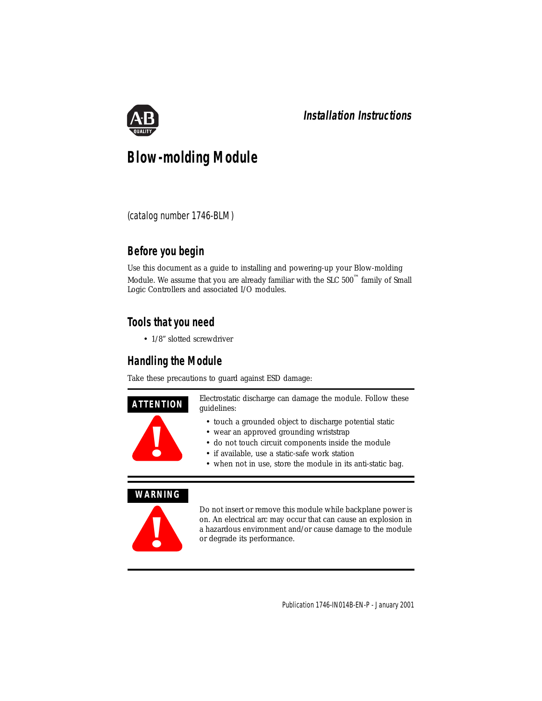

# **Blow-molding Module**

(catalog number 1746-BLM)

# **Before you begin**

Use this document as a guide to installing and powering-up your Blow-molding Module. We assume that you are already familiar with the SLC  $500^{\text{m}}$  family of Small Logic Controllers and associated I/O modules.

# **Tools that you need**

• 1/8" slotted screwdriver

# **Handling the Module**

Take these precautions to guard against ESD damage:



# **WARNING**



Do not insert or remove this module while backplane power is on. An electrical arc may occur that can cause an explosion in a hazardous environment and/or cause damage to the module or degrade its performance.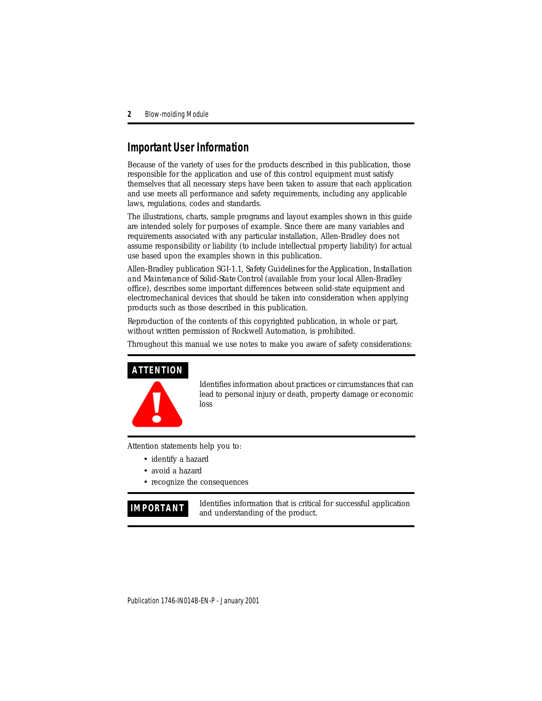# **Important User Information**

Because of the variety of uses for the products described in this publication, those responsible for the application and use of this control equipment must satisfy themselves that all necessary steps have been taken to assure that each application and use meets all performance and safety requirements, including any applicable laws, regulations, codes and standards.

The illustrations, charts, sample programs and layout examples shown in this guide are intended solely for purposes of example. Since there are many variables and requirements associated with any particular installation, Allen-Bradley does not assume responsibility or liability (to include intellectual property liability) for actual use based upon the examples shown in this publication.

Allen-Bradley publication SGI-1.1, *Safety Guidelines for the Application, Installation and Maintenance of Solid-State Control* (available from your local Allen-Bradley office), describes some important differences between solid-state equipment and electromechanical devices that should be taken into consideration when applying products such as those described in this publication.

Reproduction of the contents of this copyrighted publication, in whole or part, without written permission of Rockwell Automation, is prohibited.

Throughout this manual we use notes to make you aware of safety considerations:

# **ATTENTION**



Identifies information about practices or circumstances that can lead to personal injury or death, property damage or economic loss

Attention statements help you to:

- identify a hazard
- avoid a hazard
- recognize the consequences

**IMPORTANT** Identifies information that is critical for successful application and understanding of the product.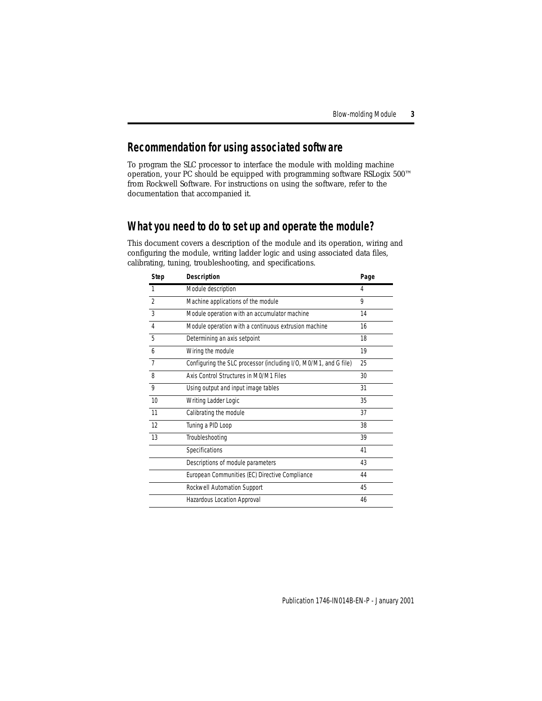# **Recommendation for using associated software**

To program the SLC processor to interface the module with molding machine operation, your PC should be equipped with programming software RSLogix 500™ from Rockwell Software. For instructions on using the software, refer to the documentation that accompanied it.

# **What you need to do to set up and operate the module?**

This document covers a description of the module and its operation, wiring and configuring the module, writing ladder logic and using associated data files, calibrating, tuning, troubleshooting, and specifications.

| <b>Step</b>    | <b>Description</b>                                               | Page |
|----------------|------------------------------------------------------------------|------|
|                | Module description                                               | 4    |
| $\mathfrak{D}$ | Machine applications of the module                               | Q    |
| 3              | Module operation with an accumulator machine                     | 14   |
| 4              | Module operation with a continuous extrusion machine             | 16   |
| 5              | Determining an axis setpoint                                     | 18   |
| 6              | Wiring the module                                                | 19   |
| $\overline{7}$ | Configuring the SLC processor (including I/O, M0/M1, and G file) | 25   |
| 8              | Axis Control Structures in M0/M1 Files                           | 30   |
| 9              | Using output and input image tables                              | 31   |
| 10             | Writing Ladder Logic                                             | 35   |
| 11             | Calibrating the module                                           | 37   |
| 12             | Tuning a PID Loop                                                | 38   |
| 13             | Troubleshooting                                                  | 39   |
|                | Specifications                                                   | 41   |
|                | Descriptions of module parameters                                | 43   |
|                | European Communities (EC) Directive Compliance                   | 44   |
|                | Rockwell Automation Support                                      | 45   |
|                | Hazardous Location Approval                                      | 46   |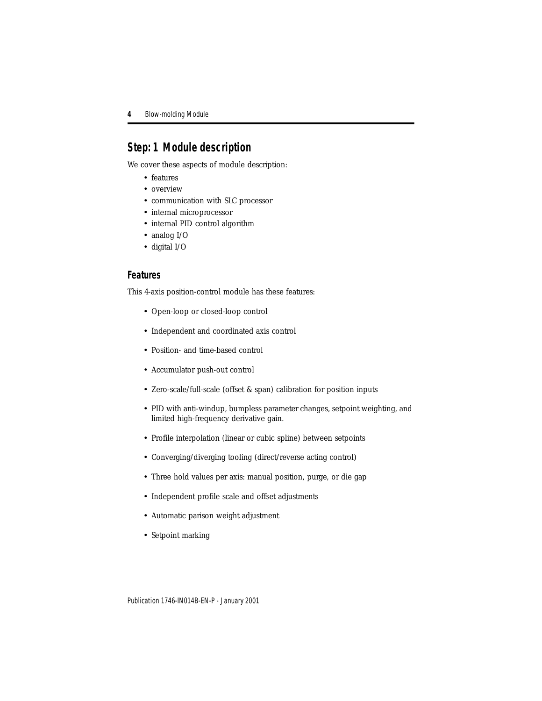# <span id="page-3-0"></span>**Step: 1 Module description**

We cover these aspects of module description:

- features
- overview
- communication with SLC processor
- internal microprocessor
- internal PID control algorithm
- analog I/O
- digital I/O

## **Features**

This 4-axis position-control module has these features:

- Open-loop or closed-loop control
- Independent and coordinated axis control
- Position- and time-based control
- Accumulator push-out control
- Zero-scale/full-scale (offset & span) calibration for position inputs
- PID with anti-windup, bumpless parameter changes, setpoint weighting, and limited high-frequency derivative gain.
- Profile interpolation (linear or cubic spline) between setpoints
- Converging/diverging tooling (direct/reverse acting control)
- Three hold values per axis: manual position, purge, or die gap
- Independent profile scale and offset adjustments
- Automatic parison weight adjustment
- Setpoint marking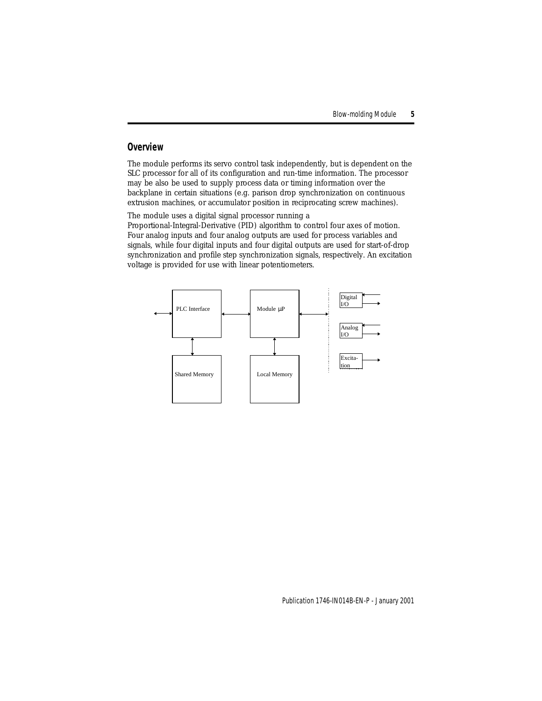## **Overview**

The module performs its servo control task independently, but is dependent on the SLC processor for all of its configuration and run-time information. The processor may be also be used to supply process data or timing information over the backplane in certain situations (e.g. parison drop synchronization on continuous extrusion machines, or accumulator position in reciprocating screw machines).

The module uses a digital signal processor running a

Proportional-Integral-Derivative (PID) algorithm to control four axes of motion. Four analog inputs and four analog outputs are used for process variables and signals, while four digital inputs and four digital outputs are used for start-of-drop synchronization and profile step synchronization signals, respectively. An excitation voltage is provided for use with linear potentiometers.

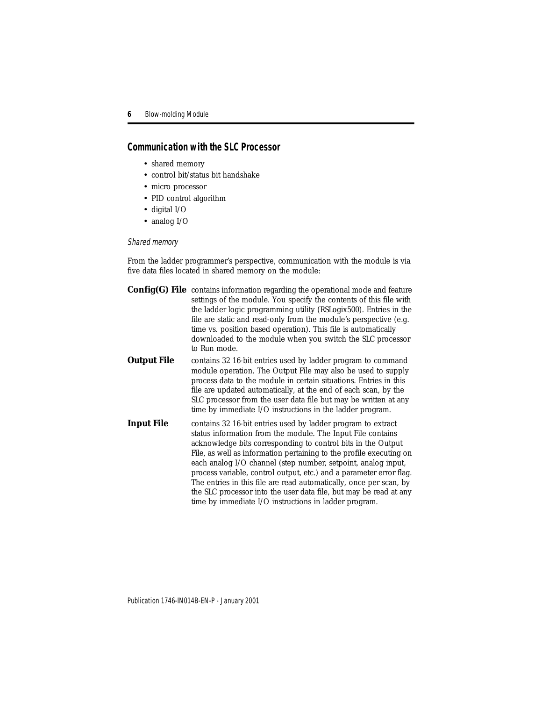# **Communication with the SLC Processor**

- shared memory
- control bit/status bit handshake
- micro processor
- PID control algorithm
- digital I/O
- analog I/O

### Shared memory

From the ladder programmer's perspective, communication with the module is via five data files located in shared memory on the module:

|                    | <b>Config(G) File</b> contains information regarding the operational mode and feature<br>settings of the module. You specify the contents of this file with<br>the ladder logic programming utility (RSLogix500). Entries in the<br>file are static and read-only from the module's perspective (e.g.<br>time vs. position based operation). This file is automatically<br>downloaded to the module when you switch the SLC processor<br>to Run mode.                                                                                                                                                          |
|--------------------|----------------------------------------------------------------------------------------------------------------------------------------------------------------------------------------------------------------------------------------------------------------------------------------------------------------------------------------------------------------------------------------------------------------------------------------------------------------------------------------------------------------------------------------------------------------------------------------------------------------|
| <b>Output File</b> | contains 32 16-bit entries used by ladder program to command<br>module operation. The Output File may also be used to supply<br>process data to the module in certain situations. Entries in this<br>file are updated automatically, at the end of each scan, by the<br>SLC processor from the user data file but may be written at any<br>time by immediate I/O instructions in the ladder program.                                                                                                                                                                                                           |
| <b>Input File</b>  | contains 32 16-bit entries used by ladder program to extract<br>status information from the module. The Input File contains<br>acknowledge bits corresponding to control bits in the Output<br>File, as well as information pertaining to the profile executing on<br>each analog I/O channel (step number, setpoint, analog input,<br>process variable, control output, etc.) and a parameter error flag.<br>The entries in this file are read automatically, once per scan, by<br>the SLC processor into the user data file, but may be read at any<br>time by immediate I/O instructions in ladder program. |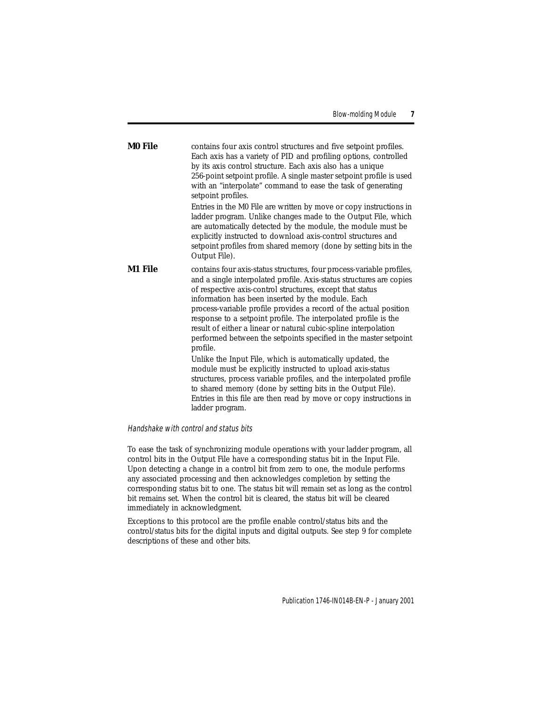| M0 File | contains four axis control structures and five setpoint profiles.    |
|---------|----------------------------------------------------------------------|
|         | Each axis has a variety of PID and profiling options, controlled     |
|         | by its axis control structure. Each axis also has a unique           |
|         | 256-point setpoint profile. A single master setpoint profile is used |
|         | with an "interpolate" command to ease the task of generating         |
|         | setpoint profiles.                                                   |

Entries in the M0 File are written by move or copy instructions in ladder program. Unlike changes made to the Output File, which are automatically detected by the module, the module must be explicitly instructed to download axis-control structures and setpoint profiles from shared memory (done by setting bits in the Output File).

**M1 File** contains four axis-status structures, four process-variable profiles, and a single interpolated profile. Axis-status structures are copies of respective axis-control structures, except that status information has been inserted by the module. Each process-variable profile provides a record of the actual position response to a setpoint profile. The interpolated profile is the result of either a linear or natural cubic-spline interpolation performed between the setpoints specified in the master setpoint profile.

Unlike the Input File, which is automatically updated, the module must be explicitly instructed to upload axis-status structures, process variable profiles, and the interpolated profile to shared memory (done by setting bits in the Output File). Entries in this file are then read by move or copy instructions in ladder program.

### Handshake with control and status bits

To ease the task of synchronizing module operations with your ladder program, all control bits in the Output File have a corresponding status bit in the Input File. Upon detecting a change in a control bit from zero to one, the module performs any associated processing and then acknowledges completion by setting the corresponding status bit to one. The status bit will remain set as long as the control bit remains set. When the control bit is cleared, the status bit will be cleared immediately in acknowledgment.

Exceptions to this protocol are the profile enable control/status bits and the control/status bits for the digital inputs and digital outputs. See step 9 for complete descriptions of these and other bits.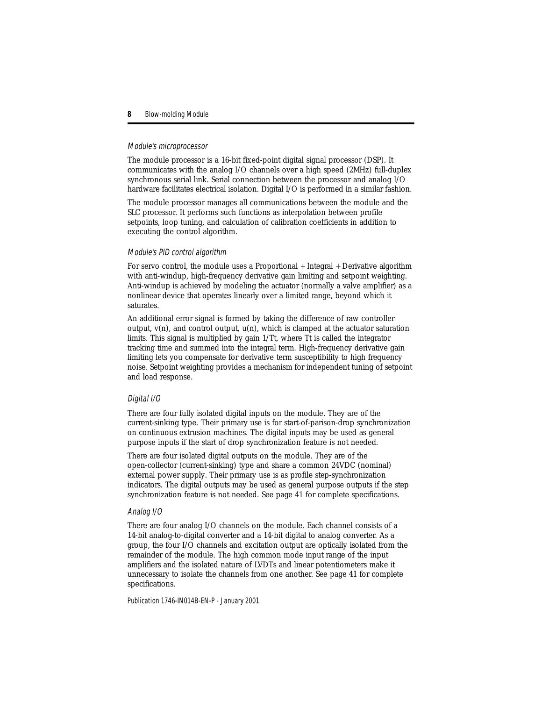### Module's microprocessor

The module processor is a 16-bit fixed-point digital signal processor (DSP). It communicates with the analog I/O channels over a high speed (2MHz) full-duplex synchronous serial link. Serial connection between the processor and analog I/O hardware facilitates electrical isolation. Digital I/O is performed in a similar fashion.

The module processor manages all communications between the module and the SLC processor. It performs such functions as interpolation between profile setpoints, loop tuning, and calculation of calibration coefficients in addition to executing the control algorithm.

### Module's PID control algorithm

For servo control, the module uses a Proportional + Integral + Derivative algorithm with anti-windup, high-frequency derivative gain limiting and setpoint weighting. Anti-windup is achieved by modeling the actuator (normally a valve amplifier) as a nonlinear device that operates linearly over a limited range, beyond which it saturates.

An additional error signal is formed by taking the difference of raw controller output,  $v(n)$ , and control output,  $u(n)$ , which is clamped at the actuator saturation limits. This signal is multiplied by gain 1/Tt, where Tt is called the integrator tracking time and summed into the integral term. High-frequency derivative gain limiting lets you compensate for derivative term susceptibility to high frequency noise. Setpoint weighting provides a mechanism for independent tuning of setpoint and load response.

### Digital I/O

There are four fully isolated digital inputs on the module. They are of the current-sinking type. Their primary use is for start-of-parison-drop synchronization on continuous extrusion machines. The digital inputs may be used as general purpose inputs if the start of drop synchronization feature is not needed.

There are four isolated digital outputs on the module. They are of the open-collector (current-sinking) type and share a common 24VDC (nominal) external power supply. Their primary use is as profile step-synchronization indicators. The digital outputs may be used as general purpose outputs if the step synchronization feature is not needed. See page [41](#page-40-0) for complete specifications.

### Analog I/O

There are four analog I/O channels on the module. Each channel consists of a 14-bit analog-to-digital converter and a 14-bit digital to analog converter. As a group, the four I/O channels and excitation output are optically isolated from the remainder of the module. The high common mode input range of the input amplifiers and the isolated nature of LVDTs and linear potentiometers make it unnecessary to isolate the channels from one another. See page [41](#page-40-0) for complete specifications.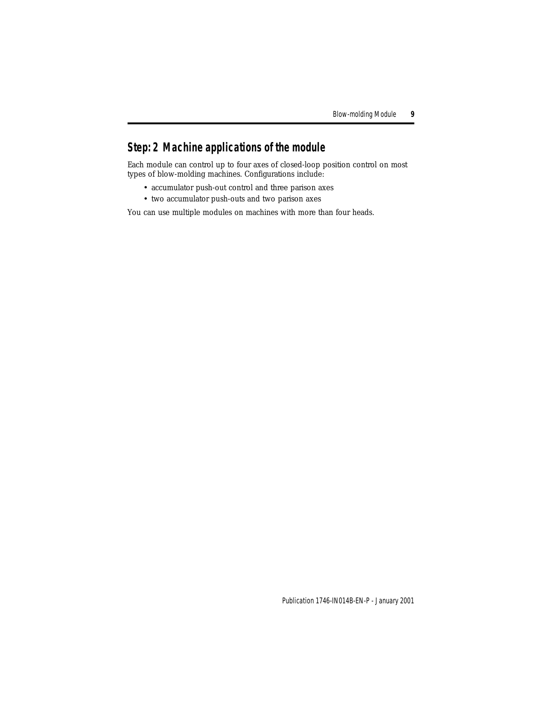# <span id="page-8-0"></span>**Step: 2 Machine applications of the module**

Each module can control up to four axes of closed-loop position control on most types of blow-molding machines. Configurations include:

- accumulator push-out control and three parison axes
- two accumulator push-outs and two parison axes

You can use multiple modules on machines with more than four heads.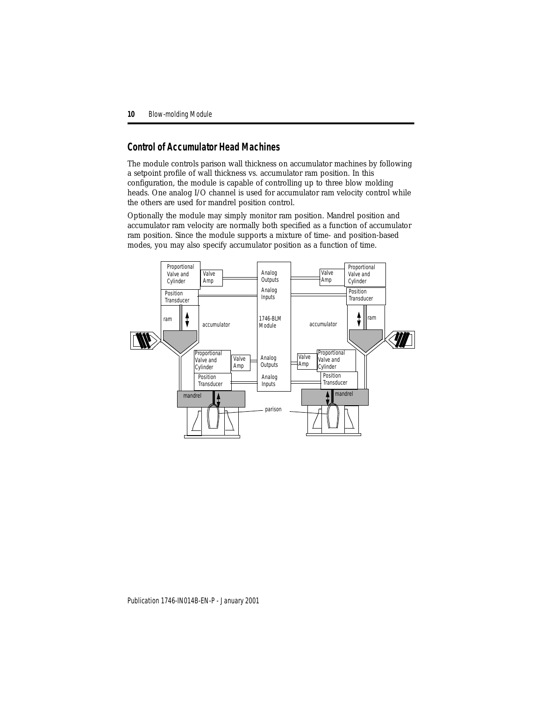## **Control of Accumulator Head Machines**

The module controls parison wall thickness on accumulator machines by following a setpoint profile of wall thickness vs. accumulator ram position. In this configuration, the module is capable of controlling up to three blow molding heads. One analog I/O channel is used for accumulator ram velocity control while the others are used for mandrel position control.

Optionally the module may simply monitor ram position. Mandrel position and accumulator ram velocity are normally both specified as a function of accumulator ram position. Since the module supports a mixture of time- and position-based modes, you may also specify accumulator position as a function of time.

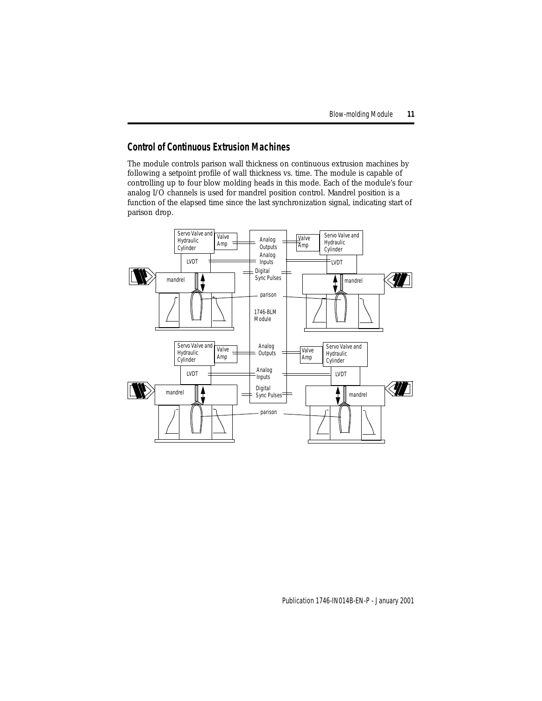# **Control of Continuous Extrusion Machines**

The module controls parison wall thickness on continuous extrusion machines by following a setpoint profile of wall thickness vs. time. The module is capable of controlling up to four blow molding heads in this mode. Each of the module's four analog I/O channels is used for mandrel position control. Mandrel position is a function of the elapsed time since the last synchronization signal, indicating start of parison drop.

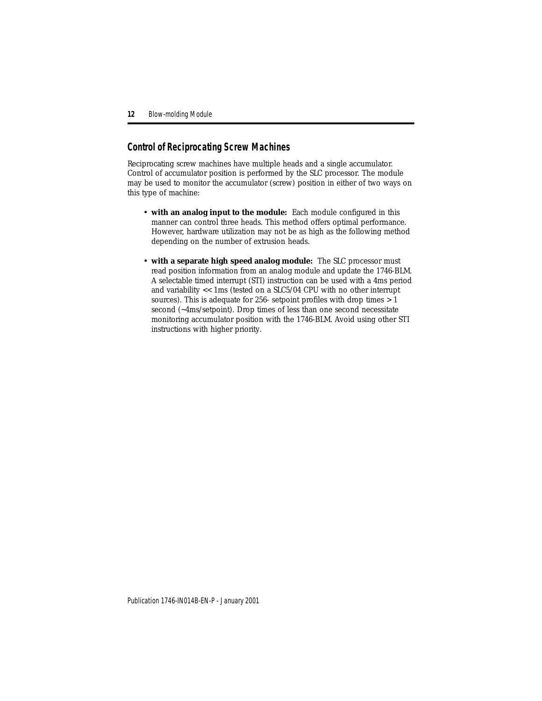# <span id="page-11-0"></span>**Control of Reciprocating Screw Machines**

Reciprocating screw machines have multiple heads and a single accumulator. Control of accumulator position is performed by the SLC processor. The module may be used to monitor the accumulator (screw) position in either of two ways on this type of machine:

- **with an analog input to the module:** Each module configured in this manner can control three heads. This method offers optimal performance. However, hardware utilization may not be as high as the following method depending on the number of extrusion heads.
- <span id="page-11-1"></span>• **with a separate high speed analog module:** The SLC processor must read position information from an analog module and update the 1746-BLM. A selectable timed interrupt (STI) instruction can be used with a 4ms period and variability << 1ms (tested on a SLC5/04 CPU with no other interrupt sources). This is adequate for 256- setpoint profiles with drop times > 1 second (~4ms/setpoint). Drop times of less than one second necessitate monitoring accumulator position with the 1746-BLM. Avoid using other STI instructions with higher priority.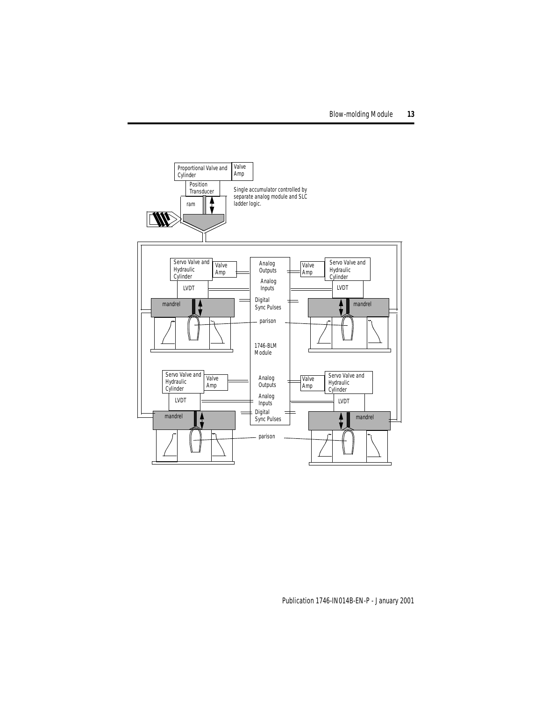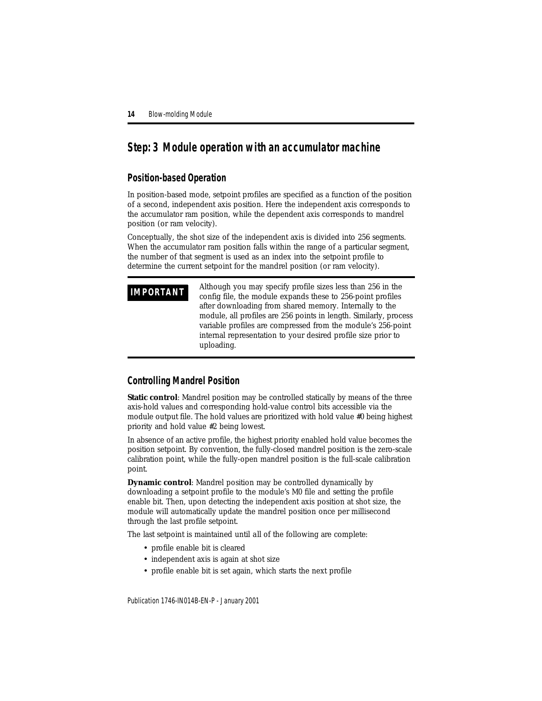# <span id="page-13-0"></span>**Step: 3 Module operation with an accumulator machine**

## **Position-based Operation**

In position-based mode, setpoint profiles are specified as a function of the position of a second, independent axis position. Here the independent axis corresponds to the accumulator ram position, while the dependent axis corresponds to mandrel position (or ram velocity).

Conceptually, the shot size of the independent axis is divided into 256 segments. When the accumulator ram position falls within the range of a particular segment, the number of that segment is used as an index into the setpoint profile to determine the current setpoint for the mandrel position (or ram velocity).

**IMPORTANT** Although you may specify profile sizes less than 256 in the **IMPORTANT** config file, the module expands these to 256-point profiles after downloading from shared memory. Internally to the module, all profiles are 256 points in length. Similarly, process variable profiles are compressed from the module's 256-point internal representation to your desired profile size prior to uploading.

## **Controlling Mandrel Position**

**Static control**: Mandrel position may be controlled statically by means of the three axis-hold values and corresponding hold-value control bits accessible via the module output file. The hold values are prioritized with hold value #0 being highest priority and hold value #2 being lowest.

In absence of an active profile, the highest priority enabled hold value becomes the position setpoint. By convention, the fully-closed mandrel position is the zero-scale calibration point, while the fully-open mandrel position is the full-scale calibration point.

**Dynamic control**: Mandrel position may be controlled dynamically by downloading a setpoint profile to the module's M0 file and setting the profile enable bit. Then, upon detecting the independent axis position at shot size, the module will automatically update the mandrel position once per millisecond through the last profile setpoint.

The last setpoint is maintained until *all* of the following are complete:

- profile enable bit is cleared
- independent axis is again at shot size
- profile enable bit is set again, which starts the next profile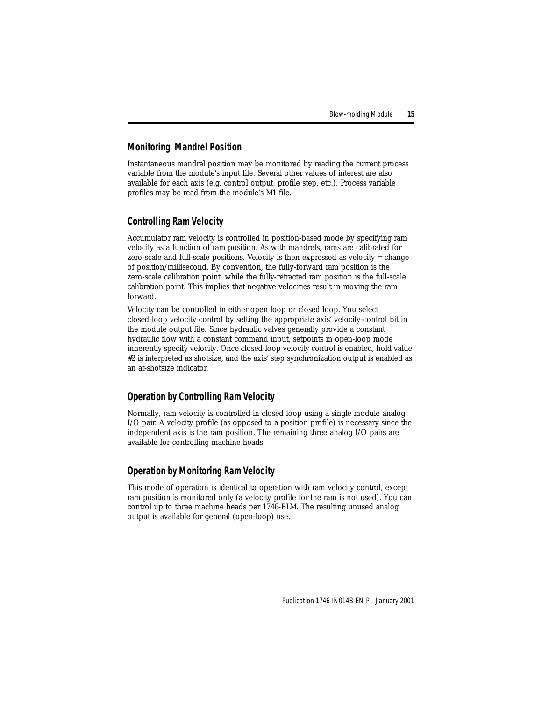# **Monitoring Mandrel Position**

Instantaneous mandrel position may be monitored by reading the current process variable from the module's input file. Several other values of interest are also available for each axis (e.g. control output, profile step, etc.). Process variable profiles may be read from the module's M1 file.

## **Controlling Ram Velocity**

Accumulator ram velocity is controlled in position-based mode by specifying ram velocity as a function of ram position. As with mandrels, rams are calibrated for zero-scale and full-scale positions. Velocity is then expressed as velocity = change of position/millisecond. By convention, the fully-forward ram position is the zero-scale calibration point, while the fully-retracted ram position is the full-scale calibration point. This implies that negative velocities result in moving the ram forward.

Velocity can be controlled in either open loop or closed loop. You select closed-loop velocity control by setting the appropriate axis' velocity-control bit in the module output file. Since hydraulic valves generally provide a constant hydraulic flow with a constant command input, setpoints in open-loop mode inherently specify velocity. Once closed-loop velocity control is enabled, hold value #2 is interpreted as shotsize, and the axis' step synchronization output is enabled as an at-shotsize indicator.

## **Operation by Controlling Ram Velocity**

Normally, ram velocity is controlled in closed loop using a single module analog I/O pair. A velocity profile (as opposed to a position profile) is necessary since the independent axis is the ram position. The remaining three analog I/O pairs are available for controlling machine heads.

## **Operation by Monitoring Ram Velocity**

This mode of operation is identical to operation with ram velocity control, except ram position is monitored only (a velocity profile for the ram is not used). You can control up to three machine heads per 1746-BLM. The resulting unused analog output is available for general (open-loop) use.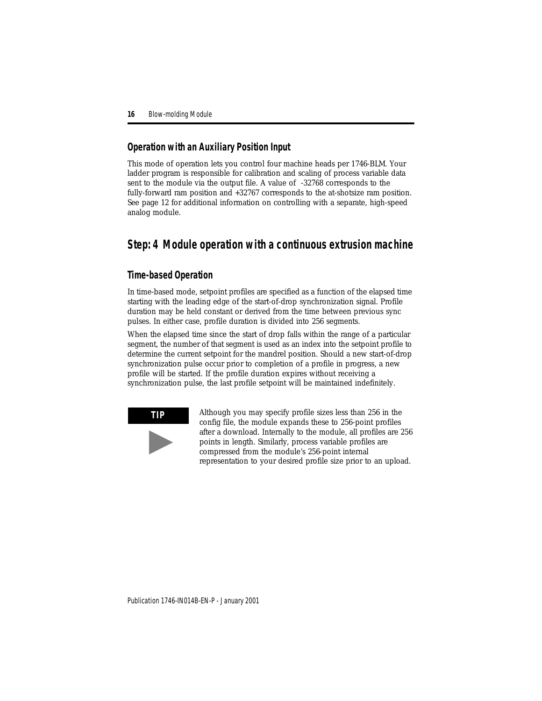## **Operation with an Auxiliary Position Input**

This mode of operation lets you control four machine heads per 1746-BLM. Your ladder program is responsible for calibration and scaling of process variable data sent to the module via the output file. A value of -32768 corresponds to the fully-forward ram position and +32767 corresponds to the at-shotsize ram position. See page [12](#page-11-0) for additional information on controlling with a separate, high-speed analog module.

# <span id="page-15-0"></span>**Step: 4 Module operation with a continuous extrusion machine**

## **Time-based Operation**

In time-based mode, setpoint profiles are specified as a function of the elapsed time starting with the leading edge of the start-of-drop synchronization signal. Profile duration may be held constant or derived from the time between previous sync pulses. In either case, profile duration is divided into 256 segments.

When the elapsed time since the start of drop falls within the range of a particular segment, the number of that segment is used as an index into the setpoint profile to determine the current setpoint for the mandrel position. Should a new start-of-drop synchronization pulse occur prior to completion of a profile in progress, a new profile will be started. If the profile duration expires without receiving a synchronization pulse, the last profile setpoint will be maintained indefinitely.



**TIP** Although you may specify profile sizes less than 256 in the config file, the module expands these to 256-point profiles after a download. Internally to the module, all profiles are 256 points in length. Similarly, process variable profiles are compressed from the module's 256-point internal representation to your desired profile size prior to an upload.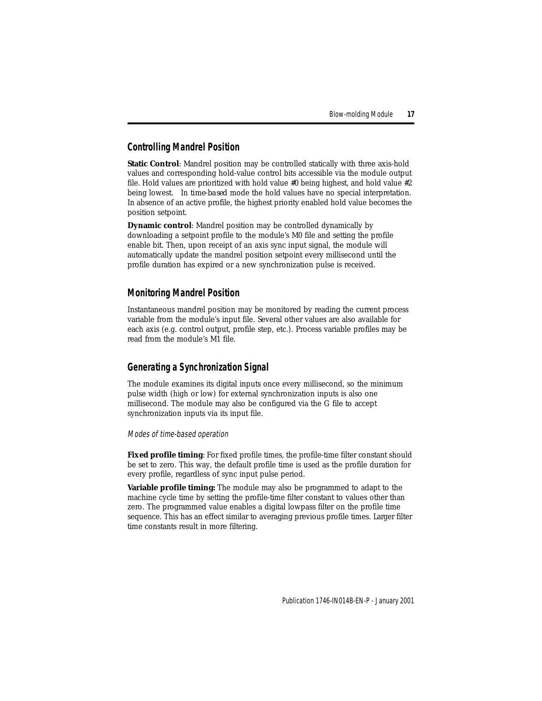# **Controlling Mandrel Position**

**Static Control:** Mandrel position may be controlled statically with three axis-hold values and corresponding hold-value control bits accessible via the module output file. Hold values are prioritized with hold value  $#0$  being highest, and hold value  $#2$ being lowest. In *time-based* mode the hold values have no special interpretation. In absence of an active profile, the highest priority enabled hold value becomes the position setpoint.

**Dynamic control**: Mandrel position may be controlled dynamically by downloading a setpoint profile to the module's M0 file and setting the profile enable bit. Then, upon receipt of an axis sync input signal, the module will automatically update the mandrel position setpoint every millisecond until the profile duration has expired or a new synchronization pulse is received.

# **Monitoring Mandrel Position**

Instantaneous mandrel position may be monitored by reading the current process variable from the module's input file. Several other values are also available for each axis (e.g. control output, profile step, etc.). Process variable profiles may be read from the module's M1 file.

# **Generating a Synchronization Signal**

The module examines its digital inputs once every millisecond, so the minimum pulse width (high or low) for external synchronization inputs is also one millisecond. The module may also be configured via the G file to accept synchronization inputs via its input file.

### Modes of time-based operation

**Fixed profile timing**: For fixed profile times, the profile-time filter constant should be set to zero. This way, the default profile time is used as the profile duration for every profile, regardless of sync input pulse period.

**Variable profile timing:** The module may also be programmed to adapt to the machine cycle time by setting the profile-time filter constant to values other than zero. The programmed value enables a digital lowpass filter on the profile time sequence. This has an effect similar to averaging previous profile times. Larger filter time constants result in more filtering.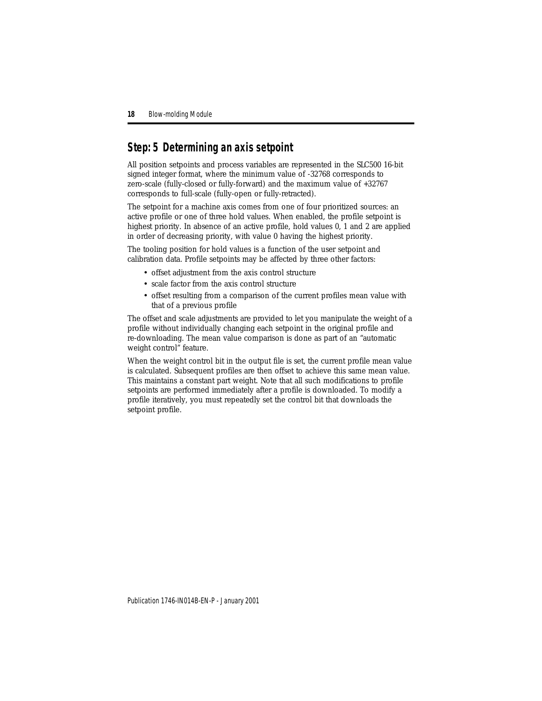# <span id="page-17-0"></span>**Step: 5 Determining an axis setpoint**

All position setpoints and process variables are represented in the SLC500 16-bit signed integer format, where the minimum value of -32768 corresponds to zero-scale (fully-closed or fully-forward) and the maximum value of +32767 corresponds to full-scale (fully-open or fully-retracted).

The setpoint for a machine axis comes from one of four prioritized sources: an active profile or one of three hold values. When enabled, the profile setpoint is highest priority. In absence of an active profile, hold values 0, 1 and 2 are applied in order of decreasing priority, with value 0 having the highest priority.

The tooling position for hold values is a function of the user setpoint and calibration data. Profile setpoints may be affected by three other factors:

- offset adjustment from the axis control structure
- scale factor from the axis control structure
- offset resulting from a comparison of the current profiles mean value with that of a previous profile

The offset and scale adjustments are provided to let you manipulate the weight of a profile without individually changing each setpoint in the original profile and re-downloading. The mean value comparison is done as part of an "automatic weight control" feature.

When the weight control bit in the output file is set, the current profile mean value is calculated. Subsequent profiles are then offset to achieve this same mean value. This maintains a constant part weight. Note that all such modifications to profile setpoints are performed immediately after a profile is downloaded. To modify a profile iteratively, you must repeatedly set the control bit that downloads the setpoint profile.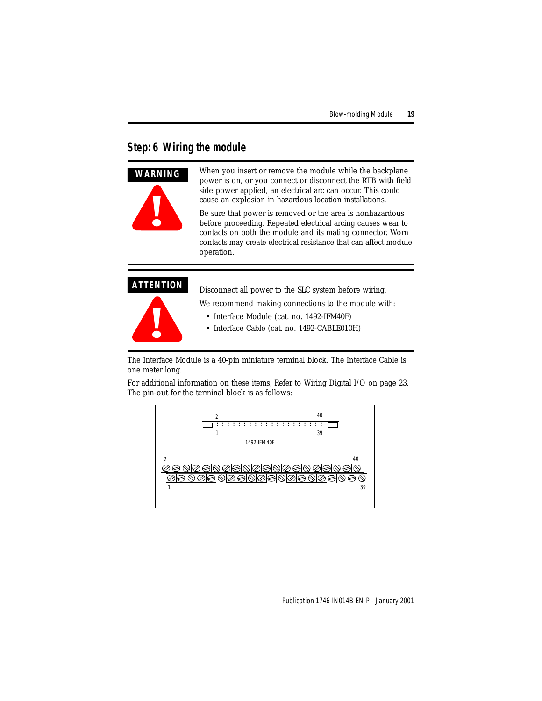# <span id="page-18-0"></span>**Step: 6 Wiring the module**



When you insert or remove the module while the backplane power is on, or you connect or disconnect the RTB with field side power applied, an electrical arc can occur. This could cause an explosion in hazardous location installations.

Be sure that power is removed or the area is nonhazardous before proceeding. Repeated electrical arcing causes wear to contacts on both the module and its mating connector. Worn contacts may create electrical resistance that can affect module operation.

## **ATTENTION**



Disconnect all power to the SLC system before wiring.

We recommend making connections to the module with:

- Interface Module (cat. no. 1492-IFM40F)
- Interface Cable (cat. no. 1492-CABLE010H)

The Interface Module is a 40-pin miniature terminal block. The Interface Cable is one meter long.

For additional information on these items, [Refer to Wiring Digital I/O on page 23.](#page-22-0) The pin-out for the terminal block is as follows:

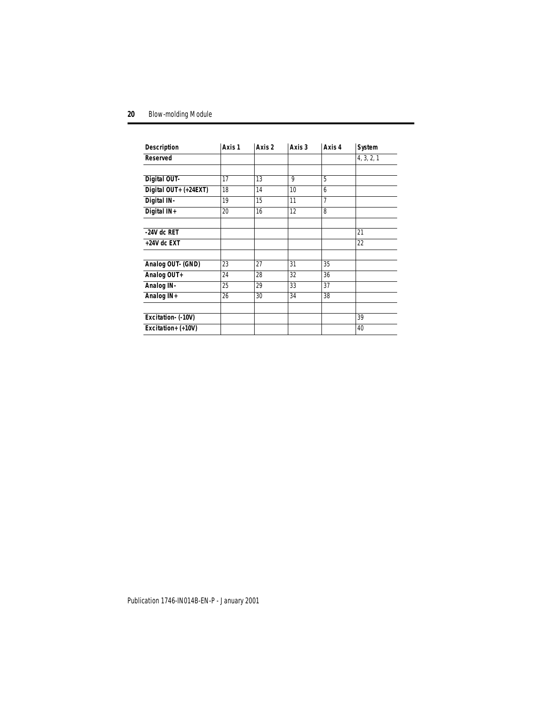| <b>Description</b>    | Axis 1 | Axis 2 | Axis 3 | Axis 4 | System     |
|-----------------------|--------|--------|--------|--------|------------|
| <b>Reserved</b>       |        |        |        |        | 4, 3, 2, 1 |
|                       |        |        |        |        |            |
| Digital OUT-          | 17     | 13     | 9      | 5      |            |
| Digital OUT+ (+24EXT) | 18     | 14     | 10     | 6      |            |
| Digital IN-           | 19     | 15     | 11     | 7      |            |
| Digital IN+           | 20     | 16     | 12     | 8      |            |
|                       |        |        |        |        |            |
| $-24V$ dc RET         |        |        |        |        | 21         |
| +24V dc EXT           |        |        |        |        | 22         |
|                       |        |        |        |        |            |
| Analog OUT- (GND)     | 23     | 27     | 31     | 35     |            |
| Analog OUT+           | 24     | 28     | 32     | 36     |            |
| Analog IN-            | 25     | 29     | 33     | 37     |            |
| Analog IN+            | 26     | 30     | 34     | 38     |            |
|                       |        |        |        |        |            |
| Excitation- (-10V)    |        |        |        |        | 39         |
| Excitation+ (+10V)    |        |        |        |        | 40         |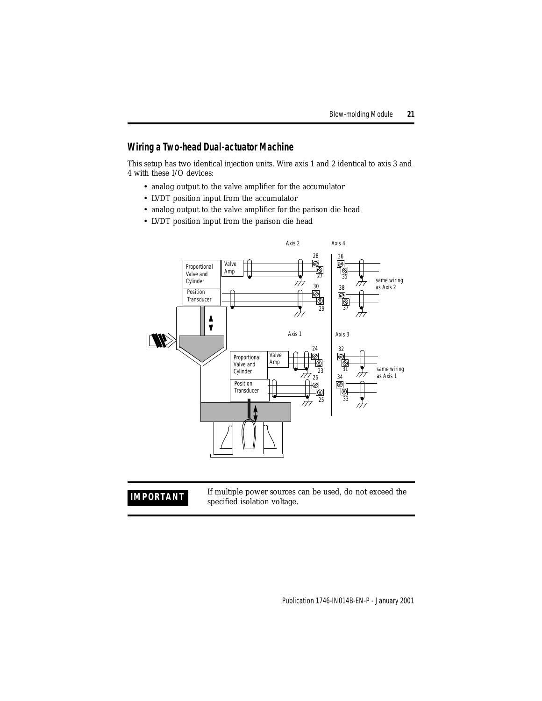# **Wiring a Two-head Dual-actuator Machine**

This setup has two identical injection units. Wire axis 1 and 2 identical to axis 3 and 4 with these I/O devices:

- analog output to the valve amplifier for the accumulator
- LVDT position input from the accumulator
- analog output to the valve amplifier for the parison die head
- LVDT position input from the parison die head



**IMPORTANT** If multiple power sources can be used, do not exceed the specified isolation voltage. specified isolation voltage.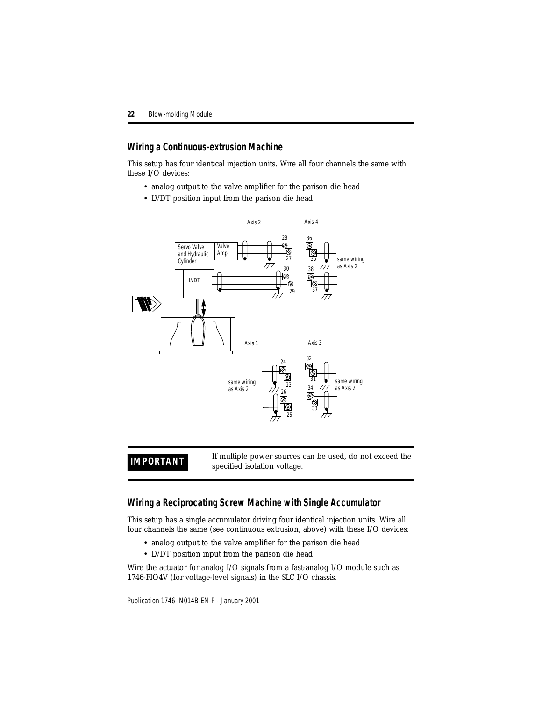## **Wiring a Continuous-extrusion Machine**

This setup has four identical injection units. Wire all four channels the same with these I/O devices:

- analog output to the valve amplifier for the parison die head
- LVDT position input from the parison die head



**IMPORTANT** If multiple power sources can be used, do not exceed the specified isolation voltage.

## **Wiring a Reciprocating Screw Machine with Single Accumulator**

This setup has a single accumulator driving four identical injection units. Wire all four channels the same (see continuous extrusion, above) with these I/O devices:

- analog output to the valve amplifier for the parison die head
- LVDT position input from the parison die head

Wire the actuator for analog I/O signals from a fast-analog I/O module such as 1746-FIO4V (for voltage-level signals) in the SLC I/O chassis.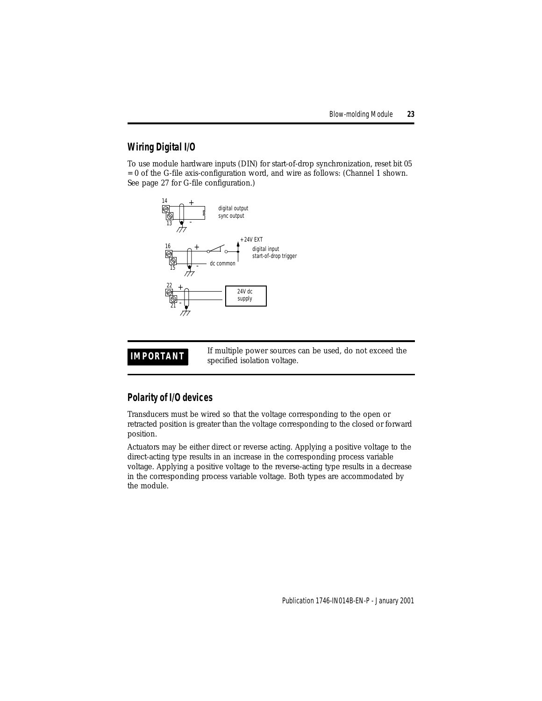# <span id="page-22-0"></span>**Wiring Digital I/O**

To use module hardware inputs (DIN) for start-of-drop synchronization, reset bit 05 = 0 of the G-file axis-configuration word, and wire as follows: (Channel 1 shown. See [page 27](#page-26-0) for G-file configuration.)



**IMPORTANT** If multiple power sources can be used, do not exceed the conciliad isolation voltage. specified isolation voltage.

# **Polarity of I/O devices**

Transducers must be wired so that the voltage corresponding to the open or retracted position is greater than the voltage corresponding to the closed or forward position.

Actuators may be either direct or reverse acting. Applying a positive voltage to the direct-acting type results in an increase in the corresponding process variable voltage. Applying a positive voltage to the reverse-acting type results in a decrease in the corresponding process variable voltage. Both types are accommodated by the module.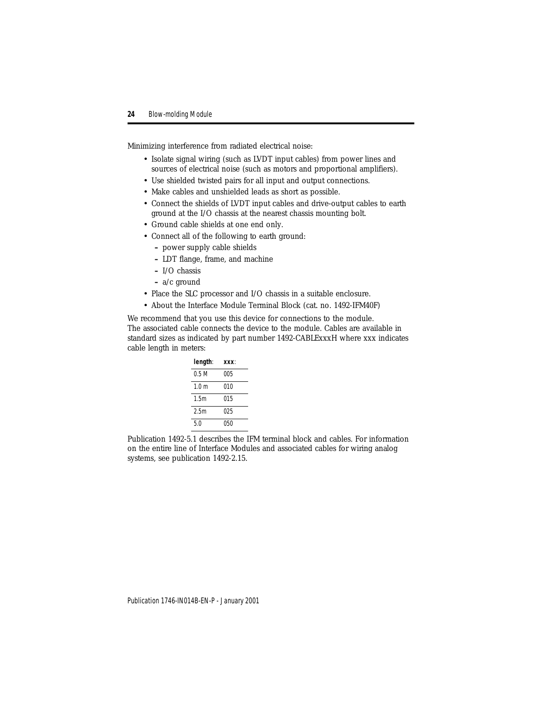Minimizing interference from radiated electrical noise:

- Isolate signal wiring (such as LVDT input cables) from power lines and sources of electrical noise (such as motors and proportional amplifiers).
- Use shielded twisted pairs for all input and output connections.
- Make cables and unshielded leads as short as possible.
- Connect the shields of LVDT input cables and drive-output cables to earth ground at the I/O chassis at the nearest chassis mounting bolt.
- Ground cable shields at one end only.
- Connect all of the following to earth ground:
	- **–** power supply cable shields
	- **–** LDT flange, frame, and machine
	- **–** I/O chassis
	- **–** a/c ground
- Place the SLC processor and I/O chassis in a suitable enclosure.
- About the Interface Module Terminal Block (cat. no. 1492-IFM40F)

We recommend that you use this device for connections to the module. The associated cable connects the device to the module. Cables are available in standard sizes as indicated by part number 1492-CABLExxxH where xxx indicates cable length in meters:

| length: | xxx. |
|---------|------|
| 0.5 M   | 005  |
| 10m     | 010  |
| 1.5m    | 015  |
| 2.5m    | 025  |
| 50      | 050  |

Publication 1492-5.1 describes the IFM terminal block and cables. For information on the entire line of Interface Modules and associated cables for wiring analog systems, see publication 1492-2.15.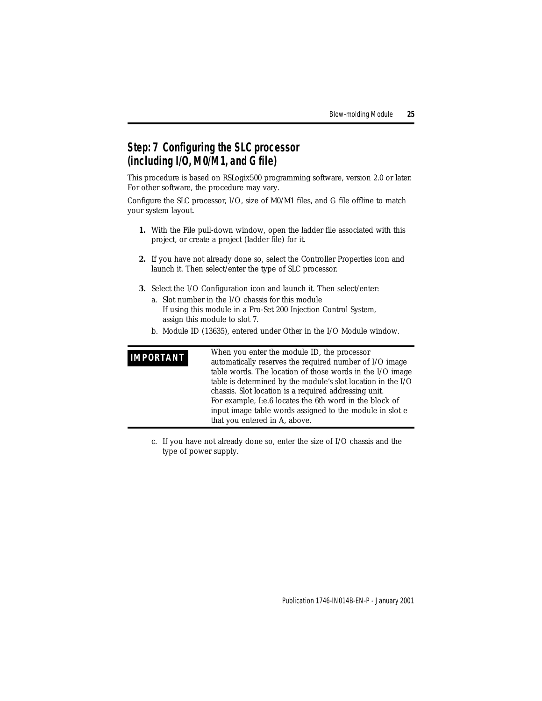# <span id="page-24-0"></span>**Step: 7 Configuring the SLC processor (including I/O, M0/M1, and G file)**

This procedure is based on RSLogix500 programming software, version 2.0 or later. For other software, the procedure may vary.

Configure the SLC processor, I/O, size of M0/M1 files, and G file offline to match your system layout.

- **1.** With the File pull-down window, open the ladder file associated with this project, or create a project (ladder file) for it.
- **2.** If you have not already done so, select the Controller Properties icon and launch it. Then select/enter the type of SLC processor.
- **3.** Select the I/O Configuration icon and launch it. Then select/enter:
	- a. Slot number in the I/O chassis for this module If using this module in a Pro-Set 200 Injection Control System, assign this module to slot 7.
	- b. Module ID (13635), entered under *Other* in the I/O Module window.

| <b>IMPORTANT</b> | When you enter the module ID, the processor                  |
|------------------|--------------------------------------------------------------|
|                  | automatically reserves the required number of I/O image      |
|                  | table words. The location of those words in the I/O image    |
|                  | table is determined by the module's slot location in the I/O |
|                  | chassis. Slot location is a required addressing unit.        |
|                  | For example, I:e.6 locates the 6th word in the block of      |
|                  | input image table words assigned to the module in slot e     |
|                  | that you entered in A, above.                                |

c. If you have not already done so, enter the size of I/O chassis and the type of power supply.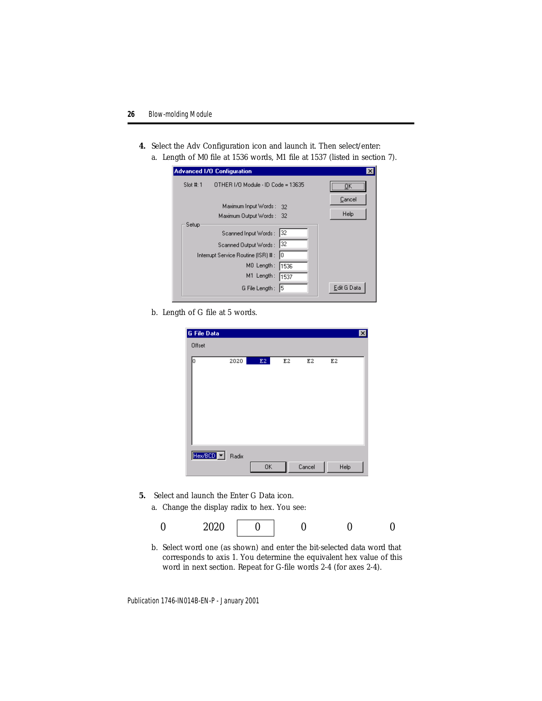- **4.** Select the Adv Configuration icon and launch it. Then select/enter:
	- a. Length of M0 file at 1536 words, M1 file at 1537 (listed in section 7).

|             | <b>Advanced 1/0 Configuration</b>                                                                                                 |                                       |                |
|-------------|-----------------------------------------------------------------------------------------------------------------------------------|---------------------------------------|----------------|
| Slot #: $1$ | OTHER I/O Module - ID Code = 13635                                                                                                |                                       |                |
|             | Maximum Input Words:<br>Maximum Output Words: 32                                                                                  | -32                                   | Cancel<br>Help |
| Setup       | Scanned Input Words:<br>Scanned Output Words:<br>Interrupt Service Routine (ISR) #:<br>MO Length:<br>M1 Length:<br>G File Length: | 132<br> 32<br>ю<br>1536<br>1537<br>15 | Edit G Data    |

b. Length of G file at 5 words.

| G File Data |       |               |    |        |      | $\overline{\mathbf{x}}$ |
|-------------|-------|---------------|----|--------|------|-------------------------|
| Offset      |       |               |    |        |      |                         |
| Ю           | 2020  | $\mathbf{E2}$ | E2 | E2     | E2   |                         |
| Hex/800 -   | Radix | 0K            |    | Cancel | Help |                         |

- <span id="page-25-0"></span>**5.** Select and launch the Enter G Data icon.
	- a. Change the display radix to hex. You see:

|  | 0.000<br>$\sim$ $\sim$ $\sim$ |  |  |  |  |
|--|-------------------------------|--|--|--|--|
|--|-------------------------------|--|--|--|--|

b. Select word one (as shown) and enter the bit-selected data word that corresponds to axis 1. You determine the equivalent hex value of this word in next section. Repeat for G-file words 2-4 (for axes 2-4).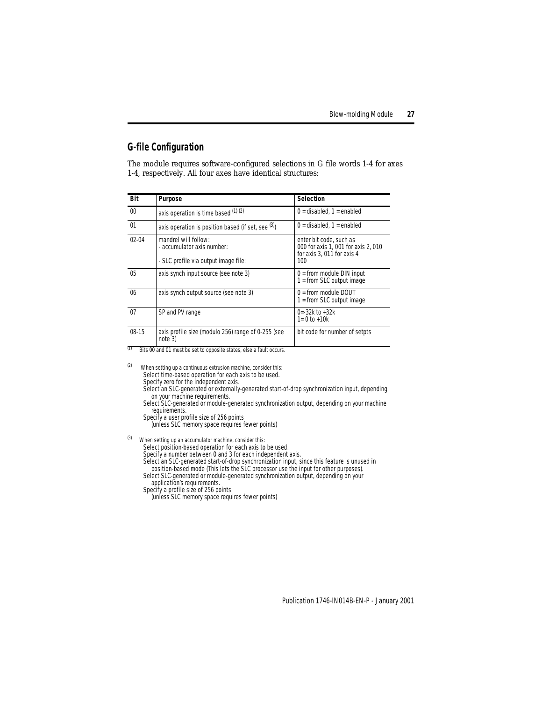# <span id="page-26-0"></span>**G-file Configuration**

The module requires software-configured selections in G file words 1-4 for axes 1-4, respectively. All four axes have identical structures:

| Bit             | Purpose                                                                                    | Selection                                                                                           |
|-----------------|--------------------------------------------------------------------------------------------|-----------------------------------------------------------------------------------------------------|
| 00 <sup>1</sup> | axis operation is time based $(1)$ $(2)$                                                   | $0 =$ disabled, $1 =$ enabled                                                                       |
| 01              | axis operation is position based (if set, see $(3)$ )                                      | $0 =$ disabled, $1 =$ enabled                                                                       |
| $02 - 04$       | mandrel will follow:<br>- accumulator axis number:<br>- SLC profile via output image file: | enter bit code, such as<br>000 for axis 1, 001 for axis 2, 010<br>for axis 3, 011 for axis 4<br>100 |
| 0 <sub>5</sub>  | axis synch input source (see note 3)                                                       | $0 =$ from module DIN input<br>$1 = from SLC output image$                                          |
| 06              | axis synch output source (see note 3)                                                      | $0 =$ from module DOUT<br>$1 = from SLC output image$                                               |
| 07              | SP and PV range                                                                            | $0 = -32k$ to $+32k$<br>$1 = 0$ to $+10k$                                                           |
| $08-15$         | axis profile size (modulo 256) range of 0-255 (see<br>note 3)                              | bit code for number of setpts                                                                       |

(1) Bits 00 and 01 must be set to opposite states, else a fault occurs.

 $(2)$  When setting up a continuous extrusion machine, consider this: Select time-based operation for each axis to be used. Specify zero for the independent axis. Select an SLC-generated or externally-generated start-of-drop synchronization input, depending

on your machine requirements. Select SLC-generated or module-generated synchronization output, depending on your machine requirements.

Specify a user profile size of 256 points

(unless SLC memory space requires fewer points)

 $(3)$  When setting up an accumulator machine, consider this:

Select position-based operation for each axis to be used.

Specify a number between 0 and 3 for each independent axis.

Select an SLC-generated start-of-drop synchronization input, since this feature is unused in position-based mode (This lets the SLC processor use the input for other purposes).

Select SLC-generated or module-generated synchronization output, depending on your application's requirements.

Specify a profile size of 256 points

(unless SLC memory space requires fewer points)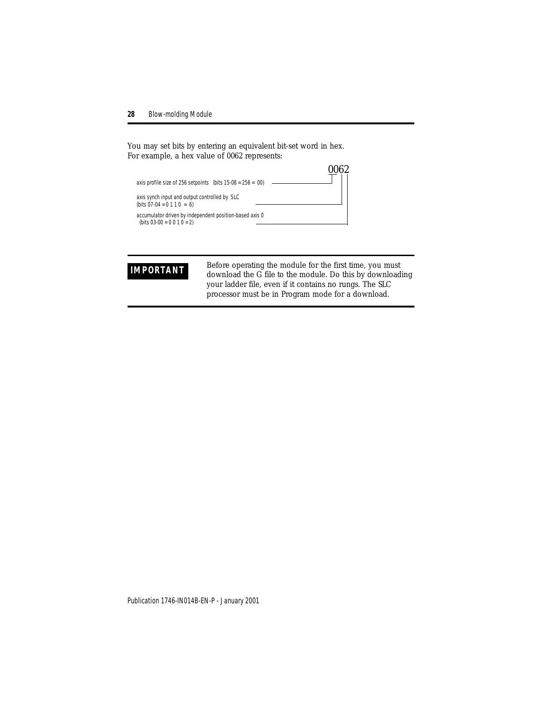You may set bits by entering an equivalent bit-set word in hex. For example, a hex value of 0062 represents:



**IMPORTANT** Before operating the module for the first time, you must<br>download the C file to the module. Do this by download download the G file to the module. Do this by downloading your ladder file, even if it contains no rungs. The SLC processor must be in Program mode for a download.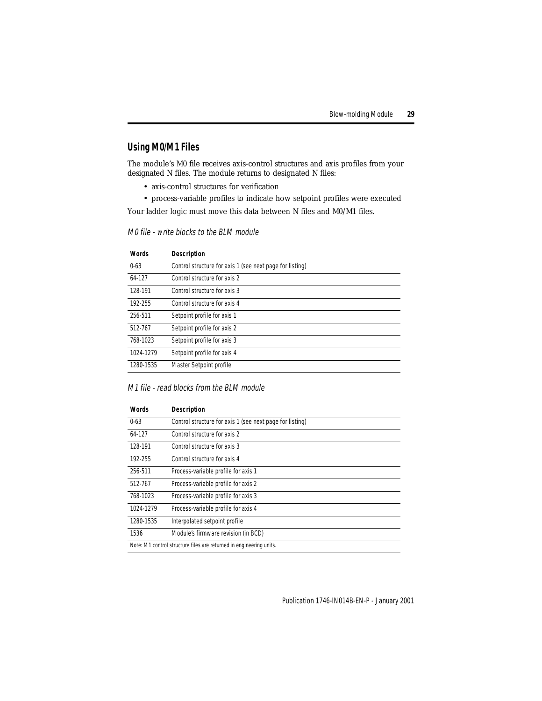# **Using M0/M1 Files**

The module's M0 file receives axis-control structures and axis profiles from your designated N files. The module returns to designated N files:

- axis-control structures for verification
- process-variable profiles to indicate how setpoint profiles were executed

Your ladder logic must move this data between N files and M0/M1 files.

| <b>Words</b> | <b>Description</b>                                       |
|--------------|----------------------------------------------------------|
| $0 - 63$     | Control structure for axis 1 (see next page for listing) |
| 64-127       | Control structure for axis 2                             |
| 128-191      | Control structure for axis 3                             |
| 192-255      | Control structure for axis 4                             |
| 256-511      | Setpoint profile for axis 1                              |
| 512-767      | Setpoint profile for axis 2                              |
| 768-1023     | Setpoint profile for axis 3                              |
| 1024-1279    | Setpoint profile for axis 4                              |
| 1280-1535    | Master Setpoint profile                                  |

### M0 file - write blocks to the BLM module

### M1 file - read blocks from the BLM module

| <b>Words</b>                                                        | <b>Description</b>                                       |  |
|---------------------------------------------------------------------|----------------------------------------------------------|--|
| $0 - 63$                                                            | Control structure for axis 1 (see next page for listing) |  |
| 64-127                                                              | Control structure for axis 2                             |  |
| 128-191                                                             | Control structure for axis 3                             |  |
| 192-255                                                             | Control structure for axis 4                             |  |
| 256-511                                                             | Process-variable profile for axis 1                      |  |
| 512-767                                                             | Process-variable profile for axis 2                      |  |
| 768-1023                                                            | Process-variable profile for axis 3                      |  |
| 1024-1279                                                           | Process-variable profile for axis 4                      |  |
| 1280-1535                                                           | Interpolated setpoint profile                            |  |
| 1536                                                                | Module's firmware revision (in BCD)                      |  |
| Note: M1 control structure files are returned in engineering units. |                                                          |  |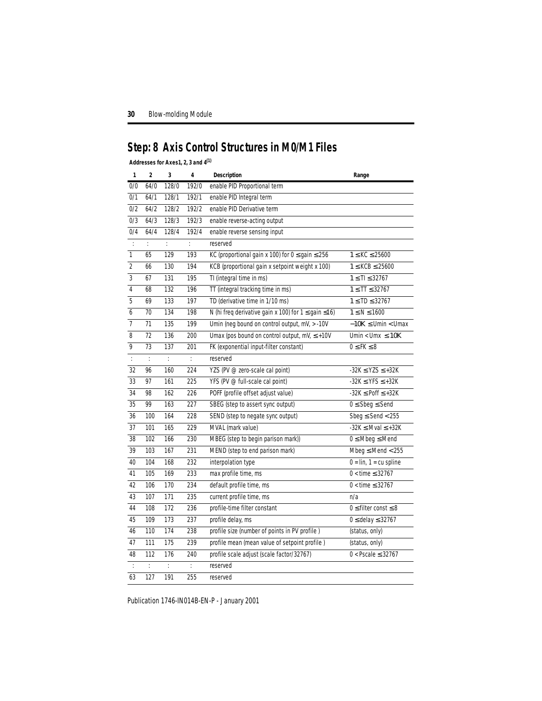# <span id="page-29-0"></span>**Step: 8 Axis Control Structures in M0/M1 Files**

## **Addresses for Axes1, 2, 3 and 4(1)**

| 1                                    | $\mathbf 2$          | 3     | 4     | Description                                             | Range                          |
|--------------------------------------|----------------------|-------|-------|---------------------------------------------------------|--------------------------------|
| 0/0                                  | 64/0                 | 128/0 | 192/0 | enable PID Proportional term                            |                                |
| 0/1                                  | 64/1                 | 128/1 | 192/1 | enable PID Integral term                                |                                |
| 0/2                                  | 64/2                 | 128/2 | 192/2 | enable PID Derivative term                              |                                |
| 0/3                                  | 64/3                 | 128/3 | 192/3 | enable reverse-acting output                            |                                |
| 0/4                                  | 64/4                 | 128/4 | 192/4 | enable reverse sensing input                            |                                |
| $\ddot{\phantom{a}}$                 | t.                   | t.    | ÷.    | reserved                                                |                                |
| $\mathbf{1}$                         | 65                   | 129   | 193   | KC (proportional gain x 100) for $0 \le$ gain $\le$ 256 | $1 \leq KC \leq 25600$         |
| $\overline{2}$                       | 66                   | 130   | 194   | KCB (proportional gain x setpoint weight x 100)         | $1 \leq KCB \leq 25600$        |
| $\overline{3}$                       | 67                   | 131   | 195   | TI (integral time in ms)                                | $1 \leq T1 \leq 32767$         |
| $\overline{4}$                       | 68                   | 132   | 196   | TT (integral tracking time in ms)                       | $1 \leq \text{T} \leq 32767$   |
| 5                                    | 69                   | 133   | 197   | TD (derivative time in 1/10 ms)                         | $1 \leq TD \leq 32767$         |
| 6                                    | 70                   | 134   | 198   | N (hi freq derivative gain x 100) for 1 ≤ gain ≤16)     | $1 \leq N \leq 1600$           |
| $\overline{7}$                       | 71                   | 135   | 199   | Umin (neg bound on control output, mV, > -10V           | $-10K \leq$ Umin $<$ Umax      |
| 8                                    | 72                   | 136   | 200   | Umax (pos bound on control output, mV, $\leq$ +10V      | Umin < Umx $\leq 10K$          |
| 9                                    | 73                   | 137   | 201   | FK (exponential input-filter constant)                  | $0 \leq FK \leq 8$             |
| $\ddot{\ddot{\phantom{}}\phantom{}}$ | ÷                    | Ť.    | ÷.    | reserved                                                |                                |
| 32                                   | 96                   | 160   | 224   | YZS (PV @ zero-scale cal point)                         | $-32K \le YZS \le +32K$        |
| 33                                   | 97                   | 161   | 225   | YFS (PV @ full-scale cal point)                         | $-32K \le YFS \le +32K$        |
| 34                                   | 98                   | 162   | 226   | POFF (profile offset adjust value)                      | $-32K \le$ Poff $\le$ $+32K$   |
| 35                                   | 99                   | 163   | 227   | SBEG (step to assert sync output)                       | $0 \leq$ Sbeg $\leq$ Send      |
| 36                                   | 100                  | 164   | 228   | SEND (step to negate sync output)                       | Sbeg $\le$ Send $<$ 255        |
| 37                                   | 101                  | 165   | 229   | MVAL (mark value)                                       | $-32K \leq Mval \leq +32K$     |
| 38                                   | 102                  | 166   | 230   | MBEG (step to begin parison mark))                      | $0 \leq M$ beg $\leq M$ end    |
| 39                                   | 103                  | 167   | 231   | MEND (step to end parison mark)                         | Mbeg $\leq$ Mend $<$ 255       |
| 40                                   | 104                  | 168   | 232   | interpolation type                                      | $0 = lin, 1 = cu$ spline       |
| 41                                   | 105                  | 169   | 233   | max profile time, ms                                    | $0 <$ time $\leq 32767$        |
| 42                                   | 106                  | 170   | 234   | default profile time, ms                                | $0$ < time $\leq$ 32767        |
| 43                                   | 107                  | 171   | 235   | current profile time, ms                                | n/a                            |
| 44                                   | 108                  | 172   | 236   | profile-time filter constant                            | $0 \leq$ filter const $\leq 8$ |
| 45                                   | 109                  | 173   | 237   | profile delay, ms                                       | $0 \le$ delay $\le$ 32767      |
| 46                                   | 110                  | 174   | 238   | profile size (number of points in PV profile)           | (status, only)                 |
| 47                                   | 111                  | 175   | 239   | profile mean (mean value of setpoint profile)           | (status, only)                 |
| 48                                   | 112                  | 176   | 240   | profile scale adjust (scale factor/32767)               | $0 < Pscale \leq 32767$        |
| ÷                                    | $\ddot{\phantom{a}}$ | ÷     | ÷     | reserved                                                |                                |
| 63                                   | 127                  | 191   | 255   | reserved                                                |                                |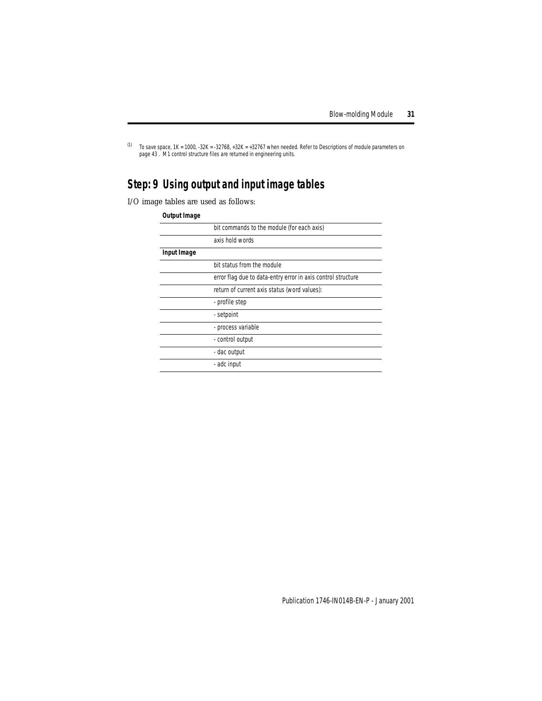$(1)$  To save space, 1K = 1000, -32K = -32768, +32K = +32767 when needed. Refer to Descriptions of module parameters on [page 43](#page-42-0) . M1 control structure files are returned in engineering units.

# <span id="page-30-0"></span>**Step: 9 Using output and input image tables**

I/O image tables are used as follows:

### **Output Image**

|             | bit commands to the module (for each axis)                   |
|-------------|--------------------------------------------------------------|
|             | axis hold words                                              |
| Input Image |                                                              |
|             | bit status from the module                                   |
|             | error flag due to data-entry error in axis control structure |
|             | return of current axis status (word values):                 |
|             | - profile step                                               |
|             | - setpoint                                                   |
|             | - process variable                                           |
|             | - control output                                             |
|             | - dac output                                                 |
|             | - adc input                                                  |
|             |                                                              |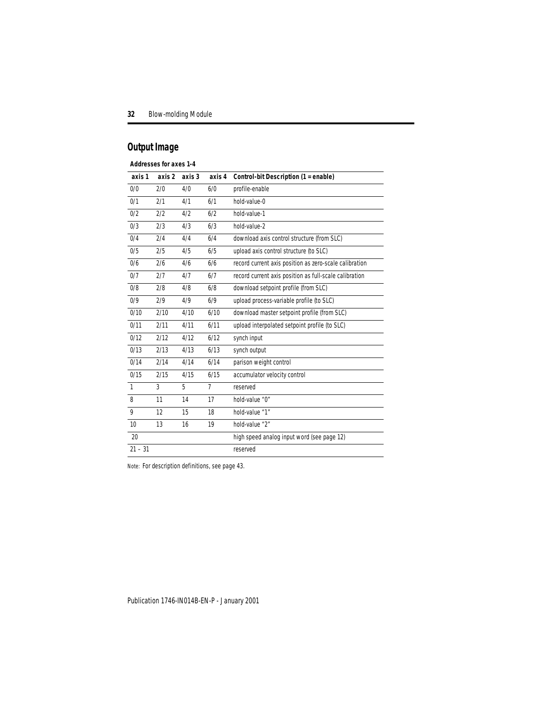# **Output Image**

### **Addresses for axes 1-4**

| axis 1       | axis 2 | axis 3 | axis 4         | Control-bit Description (1 = enable)                   |
|--------------|--------|--------|----------------|--------------------------------------------------------|
| 0/0          | 2/0    | 4/0    | 6/0            | profile-enable                                         |
| 0/1          | 2/1    | 4/1    | 6/1            | hold-value-0                                           |
| 0/2          | 2/2    | 4/2    | 6/2            | hold-value-1                                           |
| 0/3          | 2/3    | 4/3    | 6/3            | hold-value-2                                           |
| 0/4          | 2/4    | 4/4    | 6/4            | download axis control structure (from SLC)             |
| 0/5          | 2/5    | 4/5    | 6/5            | upload axis control structure (to SLC)                 |
| 0/6          | 2/6    | 4/6    | 6/6            | record current axis position as zero-scale calibration |
| 0/7          | 2/7    | 4/7    | 6/7            | record current axis position as full-scale calibration |
| 0/8          | 2/8    | 4/8    | 6/8            | download setpoint profile (from SLC)                   |
| 0/9          | 2/9    | 4/9    | 6/9            | upload process-variable profile (to SLC)               |
| 0/10         | 2/10   | 4/10   | 6/10           | download master setpoint profile (from SLC)            |
| 0/11         | 2/11   | 4/11   | 6/11           | upload interpolated setpoint profile (to SLC)          |
| 0/12         | 2/12   | 4/12   | 6/12           | synch input                                            |
| 0/13         | 2/13   | 4/13   | 6/13           | synch output                                           |
| 0/14         | 2/14   | 4/14   | 6/14           | parison weight control                                 |
| 0/15         | 2/15   | 4/15   | 6/15           | accumulator velocity control                           |
| $\mathbf{1}$ | 3      | 5      | $\overline{7}$ | reserved                                               |
| 8            | 11     | 14     | 17             | hold-value "0"                                         |
| 9            | 12     | 15     | 18             | hold-value "1"                                         |
| 10           | 13     | 16     | 19             | hold-value "2"                                         |
| 20           |        |        |                | high speed analog input word (see page 12)             |
| $21 - 31$    |        |        |                | reserved                                               |

Note: For description definitions, see page [43.](#page-42-0)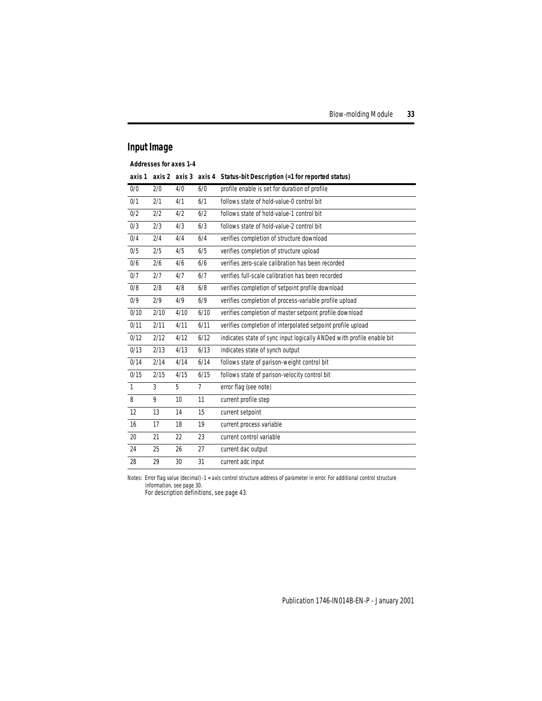# **Input Image**

**Addresses for axes 1-4**

| axis 1       |      | axis 2 axis 3   | axis 4         | Status-bit Description (=1 for reported status)                       |
|--------------|------|-----------------|----------------|-----------------------------------------------------------------------|
| 0/0          | 2/0  | 4/0             | 6/0            | profile enable is set for duration of profile                         |
| 0/1          | 2/1  | 4/1             | 6/1            | follows state of hold-value-0 control bit                             |
| 0/2          | 2/2  | 4/2             | 6/2            | follows state of hold-value-1 control bit                             |
| 0/3          | 2/3  | 4/3             | 6/3            | follows state of hold-value-2 control bit                             |
| 0/4          | 2/4  | 4/4             | 6/4            | verifies completion of structure download                             |
| 0/5          | 2/5  | 4/5             | 6/5            | verifies completion of structure upload                               |
| 0/6          | 2/6  | 4/6             | 6/6            | verifies zero-scale calibration has been recorded                     |
| 0/7          | 2/7  | 4/7             | 6/7            | verifies full-scale calibration has been recorded                     |
| 0/8          | 2/8  | 4/8             | 6/8            | verifies completion of setpoint profile download                      |
| 0/9          | 2/9  | 4/9             | 6/9            | verifies completion of process-variable profile upload                |
| 0/10         | 2/10 | 4/10            | 6/10           | verifies completion of master setpoint profile download               |
| 0/11         | 2/11 | 4/11            | 6/11           | verifies completion of interpolated setpoint profile upload           |
| 0/12         | 2/12 | 4/12            | 6/12           | indicates state of sync input logically ANDed with profile enable bit |
| 0/13         | 2/13 | 4/13            | 6/13           | indicates state of synch output                                       |
| 0/14         | 2/14 | 4/14            | 6/14           | follows state of parison-weight control bit                           |
| 0/15         | 2/15 | 4/15            | 6/15           | follows state of parison-velocity control bit                         |
| $\mathbf{1}$ | 3    | 5               | $\overline{7}$ | error flag (see note)                                                 |
| 8            | 9    | 10 <sup>1</sup> | 11             | current profile step                                                  |
| 12           | 13   | 14              | 15             | current setpoint                                                      |
| 16           | 17   | 18              | 19             | current process variable                                              |
| 20           | 21   | 22              | 23             | current control variable                                              |
| 24           | 25   | 26              | 27             | current dac output                                                    |
| 28           | 29   | 30              | 31             | current adc input                                                     |

Notes: Error flag value (decimal) -1 = axis control structure address of parameter in error. For additional control structure

information, see page [30](#page-29-0). For description definitions, see page [43.](#page-42-0)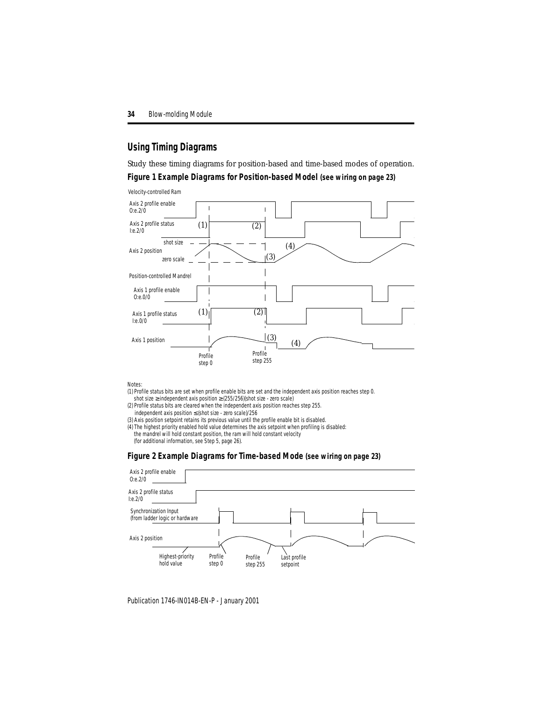## **Using Timing Diagrams**

Study these timing diagrams for position-based and time-based modes of operation.

### **Figure 1 Example Diagrams for Position-based Model (see wiring on page [23](#page-22-0))**

Velocity-controlled Ram



Notes:

- (1) Profile status bits are set when profile enable bits are set and the independent axis position reaches step 0. shot size ≥ independent axis position ≥ (255/256)(shot size - zero scale)
- (2) Profile status bits are cleared when the independent axis position reaches step 255. independent axis position ≤ (shot size - zero scale)/256
- (3) Axis position setpoint retains its previous value until the profile enable bit is disabled.
- (4) The highest priority enabled hold value determines the axis setpoint when profiling is disabled: the mandrel will hold constant position, the ram will hold constant velocity (for additional information, see Step 5, page [26\)](#page-25-0).

## **Figure 2 Example Diagrams for Time-based Mode (see wiring on page [23\)](#page-22-0)**

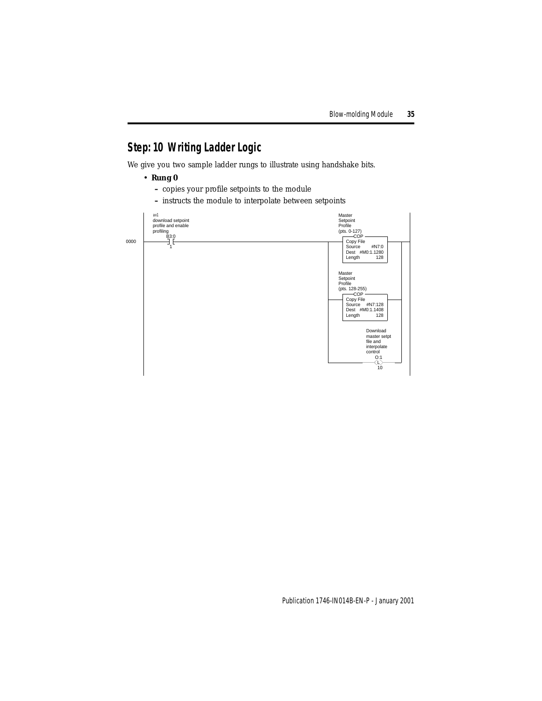# <span id="page-34-0"></span>**Step: 10 Writing Ladder Logic**

We give you two sample ladder rungs to illustrate using handshake bits.

- **Rung 0**
	- **–** copies your profile setpoints to the module
	- **–** instructs the module to interpolate between setpoints

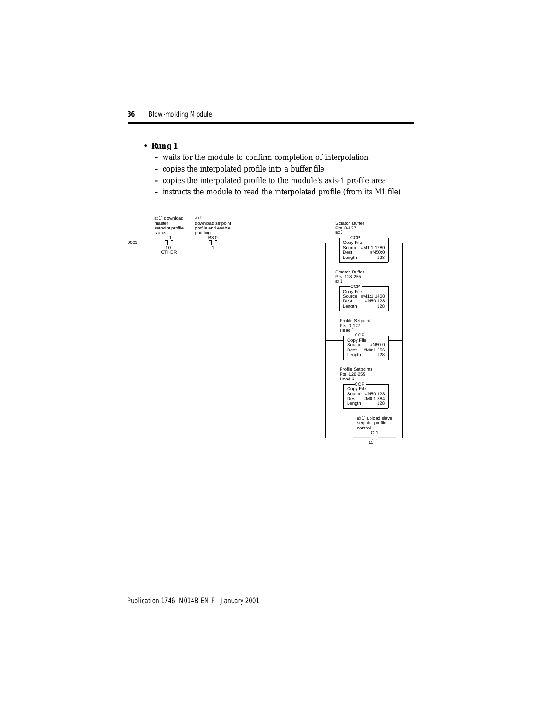### • **Rung 1**

- **–** waits for the module to confirm completion of interpolation
- **–** copies the interpolated profile into a buffer file
- **–** copies the interpolated profile to the module's axis-1 profile area
- **–** instructs the module to read the interpolated profile (from its M1 file)

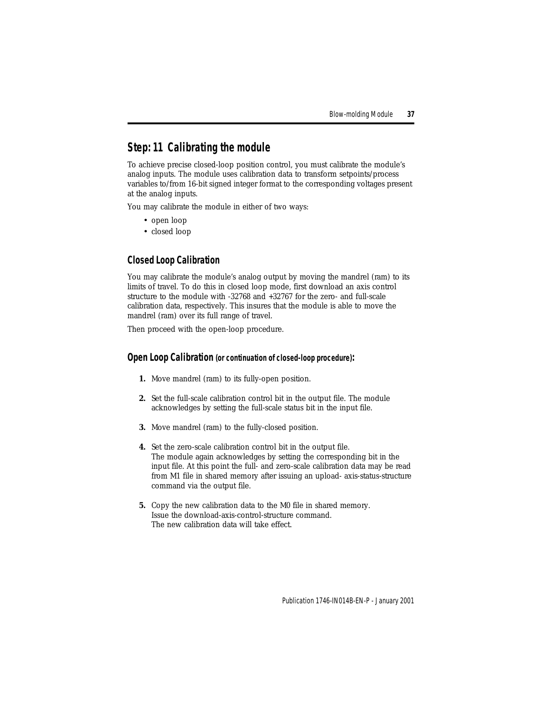# <span id="page-36-0"></span>**Step: 11 Calibrating the module**

To achieve precise closed-loop position control, you must calibrate the module's analog inputs. The module uses calibration data to transform setpoints/process variables to/from 16-bit signed integer format to the corresponding voltages present at the analog inputs.

You may calibrate the module in either of two ways:

- open loop
- closed loop

# **Closed Loop Calibration**

You may calibrate the module's analog output by moving the mandrel (ram) to its limits of travel. To do this in closed loop mode, first download an axis control structure to the module with -32768 and +32767 for the zero- and full-scale calibration data, respectively. This insures that the module is able to move the mandrel (ram) over its full range of travel.

Then proceed with the open-loop procedure.

### **Open Loop Calibration (or continuation of closed-loop procedure):**

- **1.** Move mandrel (ram) to its fully-open position.
- **2.** Set the full-scale calibration control bit in the output file. The module acknowledges by setting the full-scale status bit in the input file.
- **3.** Move mandrel (ram) to the fully-closed position.
- **4.** Set the zero-scale calibration control bit in the output file. The module again acknowledges by setting the corresponding bit in the input file. At this point the full- and zero-scale calibration data may be read from M1 file in shared memory after issuing an upload- axis-status-structure command via the output file.
- **5.** Copy the new calibration data to the M0 file in shared memory. Issue the download-axis-control-structure command. The new calibration data will take effect.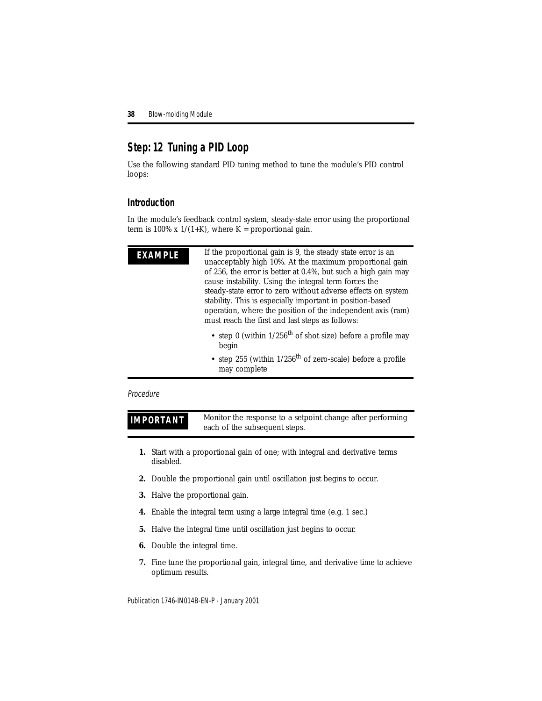# <span id="page-37-0"></span>**Step: 12 Tuning a PID Loop**

Use the following standard PID tuning method to tune the module's PID control loops:

## **Introduction**

In the module's feedback control system, steady-state error using the proportional term is 100% x  $1/(1+K)$ , where K = proportional gain.

**EXAMPLE** If the proportional gain is 9, the steady state error is an unacceptably high 10%. At the maximum proportional gain of 256, the error is better at 0.4%, but such a high gain may cause instability. Using the integral term forces the steady-state error to zero without adverse effects on system stability. This is especially important in position-based operation, where the position of the independent axis (ram) must reach the first and last steps as follows:

- step 0 (within  $1/256$ <sup>th</sup> of shot size) before a profile may begin
- step 255 (within  $1/256$ <sup>th</sup> of zero-scale) before a profile may complete

### Procedure

**IMPORTANT** Monitor the response to a setpoint change after performing each of the subsequent steps.

- **1.** Start with a proportional gain of one; with integral and derivative terms disabled.
- **2.** Double the proportional gain until oscillation just begins to occur.
- **3.** Halve the proportional gain.
- **4.** Enable the integral term using a large integral time (e.g. 1 sec.)
- **5.** Halve the integral time until oscillation just begins to occur.
- **6.** Double the integral time.
- **7.** Fine tune the proportional gain, integral time, and derivative time to achieve optimum results.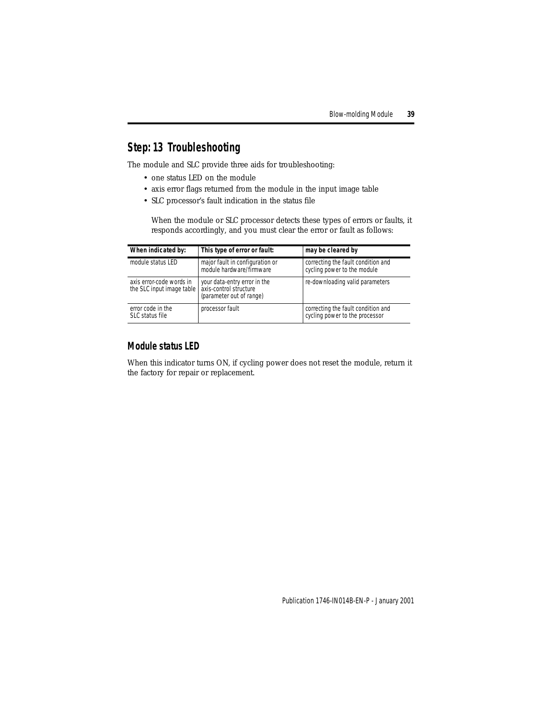# <span id="page-38-0"></span>**Step: 13 Troubleshooting**

The module and SLC provide three aids for troubleshooting:

- one status LED on the module
- axis error flags returned from the module in the input image table
- SLC processor's fault indication in the status file

When the module or SLC processor detects these types of errors or faults, it responds accordingly, and you must clear the error or fault as follows:

| When indicated by:                                                           | This type of error or fault:                                | may be cleared by                                                    |
|------------------------------------------------------------------------------|-------------------------------------------------------------|----------------------------------------------------------------------|
| module status LED                                                            | major fault in configuration or<br>module hardware/firmware | correcting the fault condition and<br>cycling power to the module    |
| axis error-code words in<br>the SLC input image table axis-control structure | your data-entry error in the<br>(parameter out of range)    | re-downloading valid parameters                                      |
| error code in the<br>SLC status file                                         | processor fault                                             | correcting the fault condition and<br>cycling power to the processor |

## **Module status LED**

When this indicator turns ON, if cycling power does not reset the module, return it the factory for repair or replacement.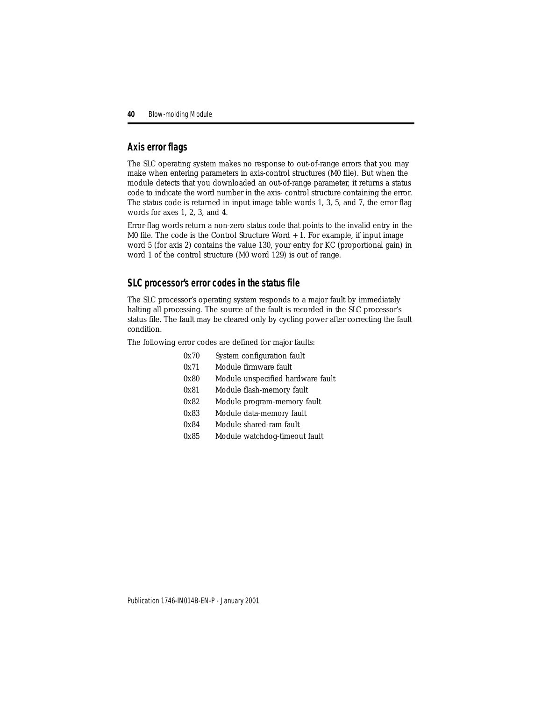## **Axis error flags**

The SLC operating system makes no response to out-of-range errors that you may make when entering parameters in axis-control structures (M0 file). But when the module detects that you downloaded an out-of-range parameter, it returns a status code to indicate the word number in the axis- control structure containing the error. The status code is returned in input image table words 1, 3, 5, and 7, the error flag words for axes 1, 2, 3, and 4.

Error-flag words return a non-zero status code that points to the invalid entry in the M0 file. The code is the Control Structure Word + 1. For example, if input image word 5 (for axis 2) contains the value 130, your entry for KC (proportional gain) in word 1 of the control structure (M0 word 129) is out of range.

## **SLC processor's error codes in the status file**

The SLC processor's operating system responds to a major fault by immediately halting all processing. The source of the fault is recorded in the SLC processor's status file. The fault may be cleared only by cycling power after correcting the fault condition.

The following error codes are defined for major faults:

| 0x70 | System configuration fault        |
|------|-----------------------------------|
| 0x71 | Module firmware fault             |
| 0x80 | Module unspecified hardware fault |
| 0x81 | Module flash-memory fault         |
| 0x82 | Module program-memory fault       |
| 0x83 | Module data-memory fault          |
| 0x84 | Module shared-ram fault           |
| 0x85 | Module watchdog-timeout fault     |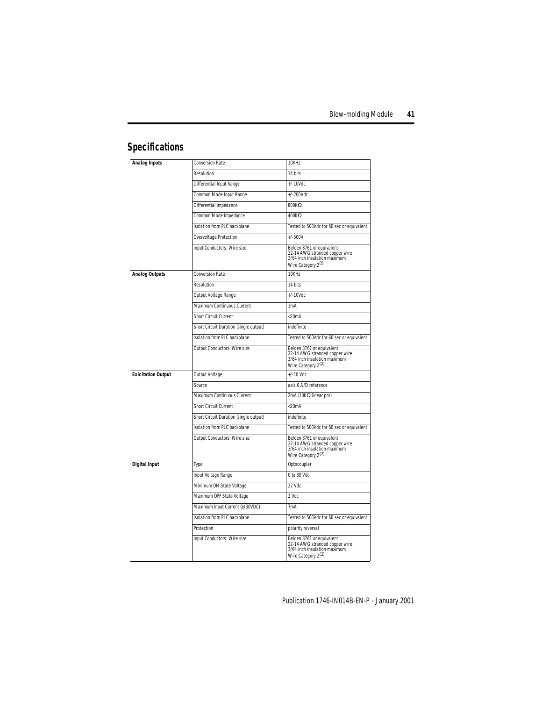# <span id="page-40-0"></span>**Specifications**

| <b>Analog Inputs</b>      | Conversion Rate                        | 10KHz                                                                                                                         |
|---------------------------|----------------------------------------|-------------------------------------------------------------------------------------------------------------------------------|
|                           | Resolution                             | 14 bits                                                                                                                       |
|                           | Differential Input Range               | $+/-10$ Vdc                                                                                                                   |
|                           | Common Mode Input Range                | $+/-200$ Vdc                                                                                                                  |
|                           | Differential Impedance                 | 800 $K\Omega$                                                                                                                 |
|                           | Common Mode Impedance                  | $400K\Omega$                                                                                                                  |
|                           | Isolation from PLC backplane           | Tested to 500Vdc for 60 sec or equivalent                                                                                     |
|                           | Overvoltage Protection                 | $+/-500V$                                                                                                                     |
|                           | Input Conductors: Wire size            | Belden 8761 or equivalent<br>22-14 AWG stranded copper wire<br>3/64 inch insulation maximum<br>Wire Category 2 <sup>(2)</sup> |
| <b>Analog Outputs</b>     | <b>Conversion Rate</b>                 | 10KHz                                                                                                                         |
|                           | Resolution                             | 14 bits                                                                                                                       |
|                           | Output Voltage Range                   | $+/-10$ Vdc                                                                                                                   |
|                           | Maximum Continuous Current             | 1 <sub>m</sub> A                                                                                                              |
|                           | Short Circuit Current                  | $<$ 20 $mA$                                                                                                                   |
|                           | Short Circuit Duration (single output) | indefinite                                                                                                                    |
|                           | Isolation from PLC backplane           | Tested to 500Vdc for 60 sec or equivalent                                                                                     |
|                           | Output Conductors: Wire size           | Belden 8761 or equivalent<br>22-14 AWG stranded copper wire<br>3/64 inch insulation maximum<br>Wire Category 2 <sup>(2)</sup> |
| <b>Exicitation Output</b> | Output Voltage                         | $+/-10$ Vdc                                                                                                                   |
|                           | Source                                 | axis 0 A/D reference                                                                                                          |
|                           | Maximum Continuous Current             | 2mA (10K $\Omega$ linear pot)                                                                                                 |
|                           | Short Circuit Current                  | $<$ 20 $mA$                                                                                                                   |
|                           | Short Circuit Duration (single output) | indefinite                                                                                                                    |
|                           | Isolation from PLC backplane           | Tested to 500Vdc for 60 sec or equivalent                                                                                     |
|                           | Output Conductors: Wire size           | Belden 8761 or equivalent<br>22-14 AWG stranded copper wire<br>3/64 inch insulation maximum<br>Wire Category 2 <sup>(2)</sup> |
| <b>Digital Input</b>      | Type                                   | Optocoupler                                                                                                                   |
|                           | Input Voltage Range                    | 0 to 30 Vdc                                                                                                                   |
|                           | Minimum ON State Voltage               | 22 Vdc                                                                                                                        |
|                           | Maximum OFF State Voltage              | 2 Vdc                                                                                                                         |
|                           | Maximum Input Current (@30VDC)         | 7 <sub>m</sub> A                                                                                                              |
|                           | Isolation from PLC backplane           | Tested to 500Vdc for 60 sec or equivalent                                                                                     |
|                           | Protection                             | polarity reversal                                                                                                             |
|                           | Input Conductors: Wire size            | Belden 8761 or equivalent<br>22-14 AWG stranded copper wire<br>3/64 inch insulation maximum<br>Wire Category $2^{(2)}$        |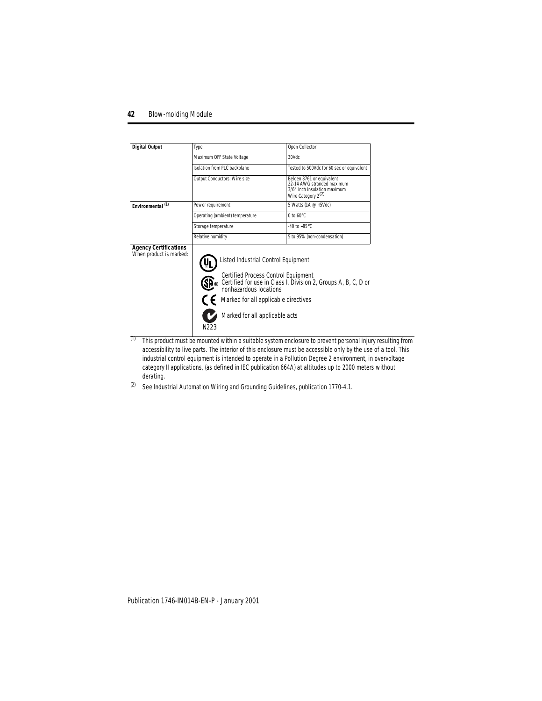| <b>Digital Output</b>                                   | Type                                                                                                                                                                                                              | Open Collector                                                                                                            |
|---------------------------------------------------------|-------------------------------------------------------------------------------------------------------------------------------------------------------------------------------------------------------------------|---------------------------------------------------------------------------------------------------------------------------|
|                                                         | Maximum OFF State Voltage                                                                                                                                                                                         | 30Vdc                                                                                                                     |
|                                                         | Isolation from PLC backplane                                                                                                                                                                                      | Tested to 500Vdc for 60 sec or equivalent                                                                                 |
|                                                         | Output Conductors: Wire size                                                                                                                                                                                      | Belden 8761 or equivalent<br>22-14 AWG stranded maximum<br>3/64 inch insulation maximum<br>Wire Category 2 <sup>(2)</sup> |
| Environmental <sup>(1)</sup>                            | Power requirement                                                                                                                                                                                                 | 5 Watts (1A @ +5Vdc)                                                                                                      |
|                                                         | Operating (ambient) temperature                                                                                                                                                                                   | $0$ to $60^{\circ}$ C                                                                                                     |
|                                                         | Storage temperature                                                                                                                                                                                               | $-40$ to $+85^{\circ}$ C                                                                                                  |
|                                                         | Relative humidity                                                                                                                                                                                                 | 5 to 95% (non-condensation)                                                                                               |
| <b>Agency Certifications</b><br>When product is marked: | Listed Industrial Control Equipment<br>Certified Process Control Equipment<br><b>GB</b> ®<br>nonhazardous locations<br>Marked for all applicable directives<br>Marked for all applicable acts<br>N <sub>223</sub> | Certified for use in Class I, Division 2, Groups A, B, C, D or                                                            |

- (1) This product must be mounted within a suitable system enclosure to prevent personal injury resulting from accessibility to live parts. The interior of this enclosure must be accessible only by the use of a tool. This industrial control equipment is intended to operate in a Pollution Degree 2 environment, in overvoltage category II applications, (as defined in IEC publication 664A) at altitudes up to 2000 meters without derating.
- (2) See Industrial Automation Wiring and Grounding Guidelines, publication 1770-4.1.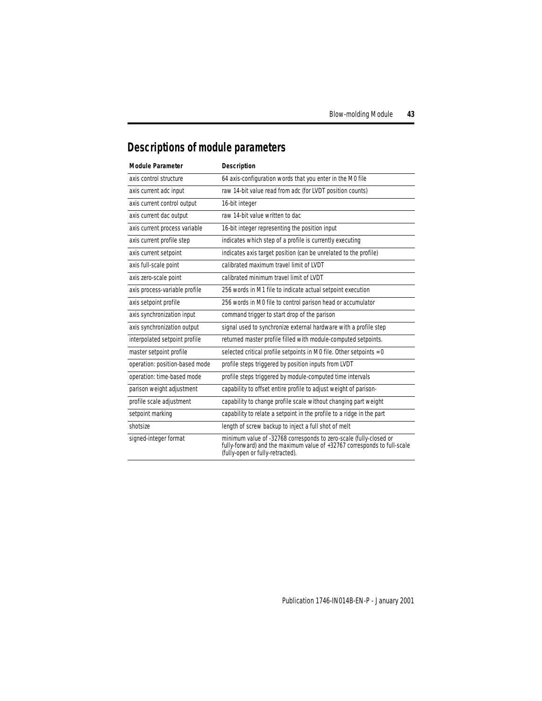# <span id="page-42-0"></span>**Descriptions of module parameters**

| <b>Module Parameter</b>        | <b>Description</b>                                                                                                                                                                 |
|--------------------------------|------------------------------------------------------------------------------------------------------------------------------------------------------------------------------------|
| axis control structure         | 64 axis-configuration words that you enter in the M0 file                                                                                                                          |
| axis current adc input         | raw 14-bit value read from adc (for LVDT position counts)                                                                                                                          |
| axis current control output    | 16-bit integer                                                                                                                                                                     |
| axis current dac output        | raw 14-bit value written to dac                                                                                                                                                    |
| axis current process variable  | 16-bit integer representing the position input                                                                                                                                     |
| axis current profile step      | indicates which step of a profile is currently executing                                                                                                                           |
| axis current setpoint          | indicates axis target position (can be unrelated to the profile)                                                                                                                   |
| axis full-scale point          | calibrated maximum travel limit of IVDT                                                                                                                                            |
| axis zero-scale point          | calibrated minimum travel limit of LVDT                                                                                                                                            |
| axis process-variable profile  | 256 words in M1 file to indicate actual setpoint execution                                                                                                                         |
| axis setpoint profile          | 256 words in M0 file to control parison head or accumulator                                                                                                                        |
| axis synchronization input     | command trigger to start drop of the parison                                                                                                                                       |
| axis synchronization output    | signal used to synchronize external hardware with a profile step                                                                                                                   |
| interpolated setpoint profile  | returned master profile filled with module-computed setpoints.                                                                                                                     |
| master setpoint profile        | selected critical profile setpoints in M0 file. Other setpoints = 0                                                                                                                |
| operation: position-based mode | profile steps triggered by position inputs from LVDT                                                                                                                               |
| operation: time-based mode     | profile steps triggered by module-computed time intervals                                                                                                                          |
| parison weight adjustment      | capability to offset entire profile to adjust weight of parison-                                                                                                                   |
| profile scale adjustment       | capability to change profile scale without changing part weight                                                                                                                    |
| setpoint marking               | capability to relate a setpoint in the profile to a ridge in the part                                                                                                              |
| shotsize                       | length of screw backup to inject a full shot of melt                                                                                                                               |
| signed-integer format          | minimum value of -32768 corresponds to zero-scale (fully-closed or<br>fully-forward) and the maximum value of +32767 corresponds to full-scale<br>(fully-open or fully-retracted). |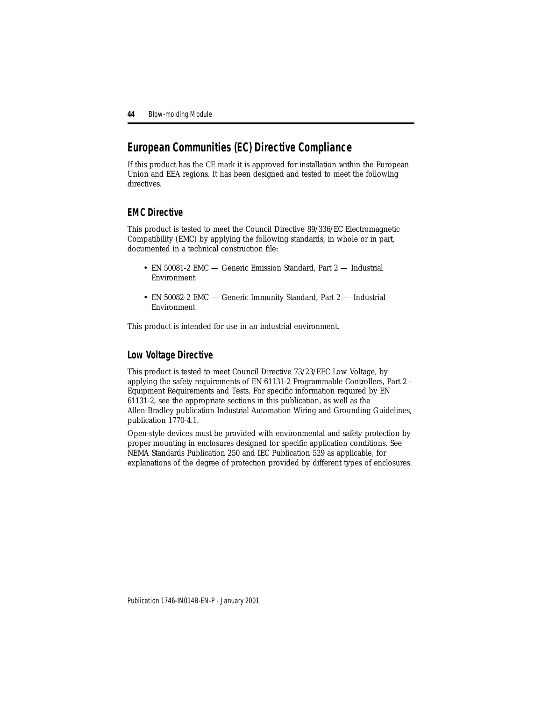# <span id="page-43-0"></span>**European Communities (EC) Directive Compliance**

If this product has the CE mark it is approved for installation within the European Union and EEA regions. It has been designed and tested to meet the following directives.

## **EMC Directive**

This product is tested to meet the Council Directive 89/336/EC Electromagnetic Compatibility (EMC) by applying the following standards, in whole or in part, documented in a technical construction file:

- EN 50081-2 EMC Generic Emission Standard, Part 2 Industrial Environment
- EN 50082-2 EMC Generic Immunity Standard, Part 2 Industrial Environment

This product is intended for use in an industrial environment.

# **Low Voltage Directive**

This product is tested to meet Council Directive 73/23/EEC Low Voltage, by applying the safety requirements of EN 61131-2 Programmable Controllers, Part 2 - Equipment Requirements and Tests. For specific information required by EN 61131-2, see the appropriate sections in this publication, as well as the Allen-Bradley publication Industrial Automation Wiring and Grounding Guidelines, publication 1770-4.1.

Open-style devices must be provided with environmental and safety protection by proper mounting in enclosures designed for specific application conditions. See NEMA Standards Publication 250 and IEC Publication 529 as applicable, for explanations of the degree of protection provided by different types of enclosures.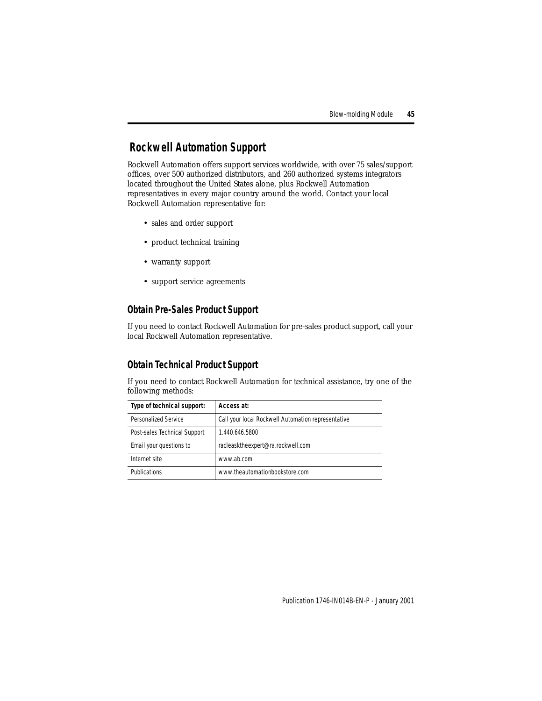# <span id="page-44-0"></span>**Rockwell Automation Support**

Rockwell Automation offers support services worldwide, with over 75 sales/support offices, over 500 authorized distributors, and 260 authorized systems integrators located throughout the United States alone, plus Rockwell Automation representatives in every major country around the world. Contact your local Rockwell Automation representative for:

- sales and order support
- product technical training
- warranty support
- support service agreements

# **Obtain Pre-Sales Product Support**

If you need to contact Rockwell Automation for pre-sales product support, call your local Rockwell Automation representative.

# **Obtain Technical Product Support**

If you need to contact Rockwell Automation for technical assistance, try one of the following methods:

| Type of technical support:   | Access at:                                         |
|------------------------------|----------------------------------------------------|
| Personalized Service         | Call your local Rockwell Automation representative |
| Post-sales Technical Support | 1.440.646.5800                                     |
| Email your questions to      | racleasktheexpert@ra.rockwell.com                  |
| Internet site                | www.ab.com                                         |
| Publications                 | www.theautomationbookstore.com                     |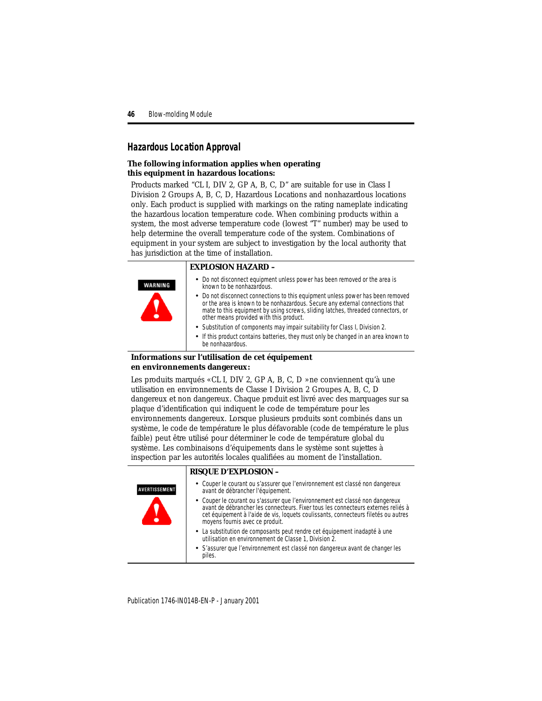## <span id="page-45-0"></span>**Hazardous Location Approval**

### **The following information applies when operating this equipment in hazardous locations:**

Products marked "CL I, DIV 2, GP A, B, C, D" are suitable for use in Class I Division 2 Groups A, B, C, D, Hazardous Locations and nonhazardous locations only. Each product is supplied with markings on the rating nameplate indicating the hazardous location temperature code. When combining products within a system, the most adverse temperature code (lowest "T" number) may be used to help determine the overall temperature code of the system. Combinations of equipment in your system are subject to investigation by the local authority that has jurisdiction at the time of installation.

### **EXPLOSION HAZARD –**

- Do not disconnect equipment unless power has been removed or the area is WARNING known to be nonhazardous.
	- Do not disconnect connections to this equipment unless power has been removed or the area is known to be nonhazardous. Secure any external connections that
	- mate to this equipment by using screws, sliding latches, threaded connectors, or other means provided with this product.
	- Substitution of components may impair suitability for Class I, Division 2.
	- If this product contains batteries, they must only be changed in an area known to be nonhazardous.

### **Informations sur l'utilisation de cet équipement en environnements dangereux:**

Les produits marqués « CL I, DIV 2, GP A, B, C, D » ne conviennent qu'à une utilisation en environnements de Classe I Division 2 Groupes A, B, C, D dangereux et non dangereux. Chaque produit est livré avec des marquages sur sa plaque d'identification qui indiquent le code de température pour les environnements dangereux. Lorsque plusieurs produits sont combinés dans un système, le code de température le plus défavorable (code de température le plus faible) peut être utilisé pour déterminer le code de température global du système. Les combinaisons d'équipements dans le système sont sujettes à inspection par les autorités locales qualifiées au moment de l'installation.

### **RISQUE D'EXPLOSION –**

| <b>AVERTISSEMENT</b> | • Couper le courant ou s'assurer que l'environnement est classé non dangereux<br>avant de débrancher l'équipement.                                                                                                                                                                          |
|----------------------|---------------------------------------------------------------------------------------------------------------------------------------------------------------------------------------------------------------------------------------------------------------------------------------------|
|                      | • Couper le courant ou s'assurer que l'environnement est classé non dangereux<br>avant de débrancher les connecteurs. Fixer tous les connecteurs externes reliés à<br>cet équipement à l'aide de vis, loquets coulissants, connecteurs filetés ou autres<br>moyens fournis avec ce produit. |
|                      | • La substitution de composants peut rendre cet équipement inadapté à une<br>utilisation en environnement de Classe 1, Division 2.                                                                                                                                                          |
|                      | • S'assurer que l'environnement est classé non dangereux avant de changer les<br>piles.                                                                                                                                                                                                     |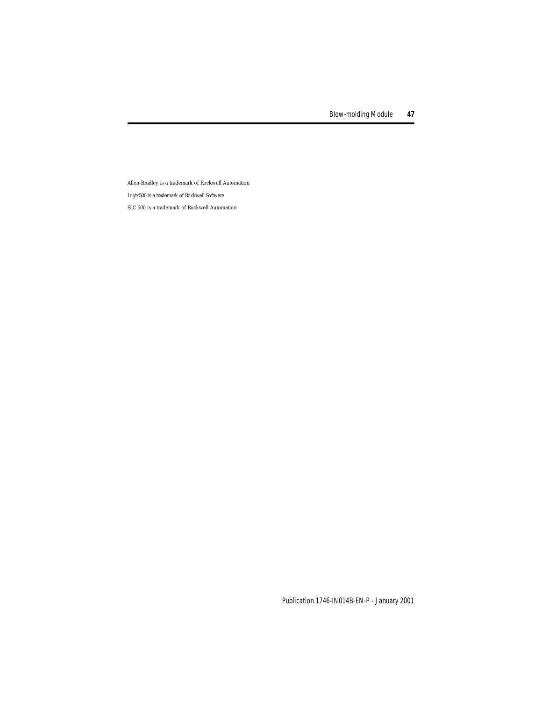Allen-Bradley is a trademark of Rockwell Automation Logix500 is a trademark of Rockwell Software

SLC 500 is a trademark of Rockwell Automation